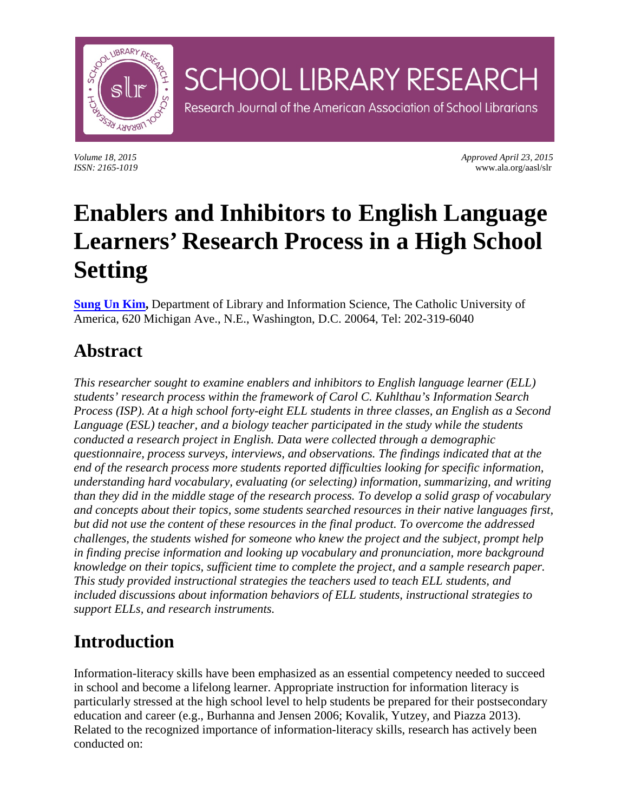

*Volume 18, 2015 Approved April 23, 2015 ISSN: 2165-1019* www.ala.org/aasl/slr

# **Enablers and Inhibitors to English Language Learners' Research Process in a High School Setting**

**SCHOOL LIBRARY RESEARCH** 

Research Journal of the American Association of School Librarians

**[Sung Un Kim,](mailto:kimi@cua.edu)** Department of Library and Information Science, The Catholic University of America, 620 Michigan Ave., N.E., Washington, D.C. 20064, Tel: 202-319-6040

### **Abstract**

*This researcher sought to examine enablers and inhibitors to English language learner (ELL) students' research process within the framework of Carol C. Kuhlthau's Information Search Process (ISP). At a high school forty-eight ELL students in three classes, an English as a Second Language (ESL) teacher, and a biology teacher participated in the study while the students conducted a research project in English. Data were collected through a demographic questionnaire, process surveys, interviews, and observations. The findings indicated that at the end of the research process more students reported difficulties looking for specific information, understanding hard vocabulary, evaluating (or selecting) information, summarizing, and writing than they did in the middle stage of the research process. To develop a solid grasp of vocabulary and concepts about their topics, some students searched resources in their native languages first, but did not use the content of these resources in the final product. To overcome the addressed challenges, the students wished for someone who knew the project and the subject, prompt help in finding precise information and looking up vocabulary and pronunciation, more background knowledge on their topics, sufficient time to complete the project, and a sample research paper. This study provided instructional strategies the teachers used to teach ELL students, and included discussions about information behaviors of ELL students, instructional strategies to support ELLs, and research instruments.*

## **Introduction**

Information-literacy skills have been emphasized as an essential competency needed to succeed in school and become a lifelong learner. Appropriate instruction for information literacy is particularly stressed at the high school level to help students be prepared for their postsecondary education and career (e.g., Burhanna and Jensen 2006; Kovalik, Yutzey, and Piazza 2013). Related to the recognized importance of information-literacy skills, research has actively been conducted on: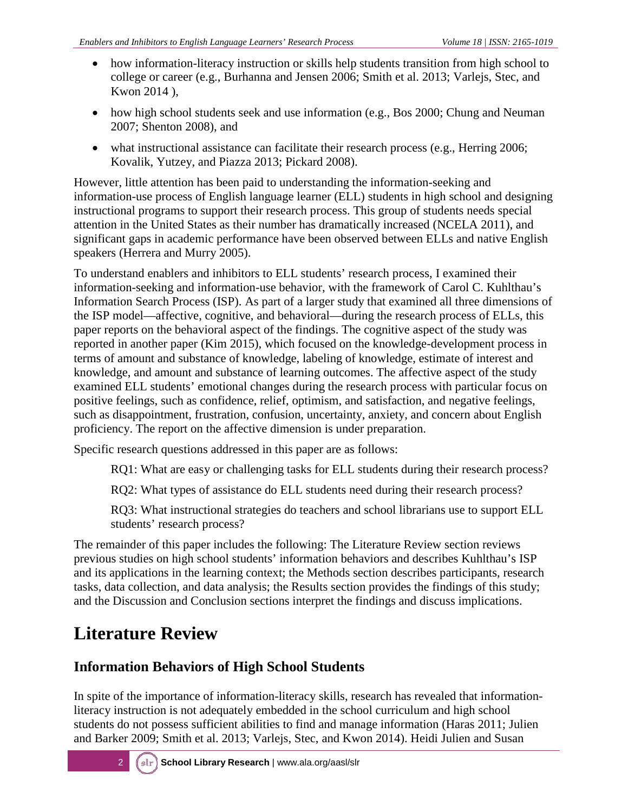- how information-literacy instruction or skills help students transition from high school to college or career (e.g., Burhanna and Jensen 2006; Smith et al. 2013; Varlejs, Stec, and Kwon 2014 ),
- how high school students seek and use information (e.g., Bos 2000; Chung and Neuman 2007; Shenton 2008), and
- what instructional assistance can facilitate their research process (e.g., Herring 2006; Kovalik, Yutzey, and Piazza 2013; Pickard 2008).

However, little attention has been paid to understanding the information-seeking and information-use process of English language learner (ELL) students in high school and designing instructional programs to support their research process. This group of students needs special attention in the United States as their number has dramatically increased (NCELA 2011), and significant gaps in academic performance have been observed between ELLs and native English speakers (Herrera and Murry 2005).

To understand enablers and inhibitors to ELL students' research process, I examined their information-seeking and information-use behavior, with the framework of Carol C. Kuhlthau's Information Search Process (ISP). As part of a larger study that examined all three dimensions of the ISP model—affective, cognitive, and behavioral—during the research process of ELLs, this paper reports on the behavioral aspect of the findings. The cognitive aspect of the study was reported in another paper (Kim 2015), which focused on the knowledge-development process in terms of amount and substance of knowledge, labeling of knowledge, estimate of interest and knowledge, and amount and substance of learning outcomes. The affective aspect of the study examined ELL students' emotional changes during the research process with particular focus on positive feelings, such as confidence, relief, optimism, and satisfaction, and negative feelings, such as disappointment, frustration, confusion, uncertainty, anxiety, and concern about English proficiency. The report on the affective dimension is under preparation.

Specific research questions addressed in this paper are as follows:

RQ1: What are easy or challenging tasks for ELL students during their research process?

RQ2: What types of assistance do ELL students need during their research process?

RQ3: What instructional strategies do teachers and school librarians use to support ELL students' research process?

The remainder of this paper includes the following: The Literature Review section reviews previous studies on high school students' information behaviors and describes Kuhlthau's ISP and its applications in the learning context; the Methods section describes participants, research tasks, data collection, and data analysis; the Results section provides the findings of this study; and the Discussion and Conclusion sections interpret the findings and discuss implications.

## **Literature Review**

### **Information Behaviors of High School Students**

In spite of the importance of information-literacy skills, research has revealed that informationliteracy instruction is not adequately embedded in the school curriculum and high school students do not possess sufficient abilities to find and manage information (Haras 2011; Julien and Barker 2009; Smith et al. 2013; Varlejs, Stec, and Kwon 2014). Heidi Julien and Susan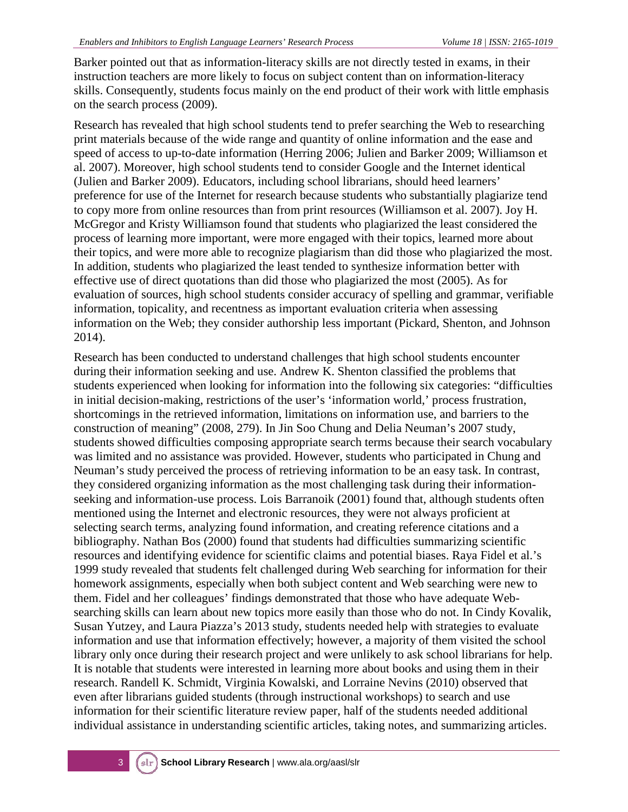Barker pointed out that as information-literacy skills are not directly tested in exams, in their instruction teachers are more likely to focus on subject content than on information-literacy skills. Consequently, students focus mainly on the end product of their work with little emphasis on the search process (2009).

Research has revealed that high school students tend to prefer searching the Web to researching print materials because of the wide range and quantity of online information and the ease and speed of access to up-to-date information (Herring 2006; Julien and Barker 2009; Williamson et al. 2007). Moreover, high school students tend to consider Google and the Internet identical (Julien and Barker 2009). Educators, including school librarians, should heed learners' preference for use of the Internet for research because students who substantially plagiarize tend to copy more from online resources than from print resources (Williamson et al. 2007). Joy H. McGregor and Kristy Williamson found that students who plagiarized the least considered the process of learning more important, were more engaged with their topics, learned more about their topics, and were more able to recognize plagiarism than did those who plagiarized the most. In addition, students who plagiarized the least tended to synthesize information better with effective use of direct quotations than did those who plagiarized the most (2005). As for evaluation of sources, high school students consider accuracy of spelling and grammar, verifiable information, topicality, and recentness as important evaluation criteria when assessing information on the Web; they consider authorship less important (Pickard, Shenton, and Johnson 2014).

Research has been conducted to understand challenges that high school students encounter during their information seeking and use. Andrew K. Shenton classified the problems that students experienced when looking for information into the following six categories: "difficulties in initial decision-making, restrictions of the user's 'information world,' process frustration, shortcomings in the retrieved information, limitations on information use, and barriers to the construction of meaning" (2008, 279). In Jin Soo Chung and Delia Neuman's 2007 study, students showed difficulties composing appropriate search terms because their search vocabulary was limited and no assistance was provided. However, students who participated in Chung and Neuman's study perceived the process of retrieving information to be an easy task. In contrast, they considered organizing information as the most challenging task during their informationseeking and information-use process. Lois Barranoik (2001) found that, although students often mentioned using the Internet and electronic resources, they were not always proficient at selecting search terms, analyzing found information, and creating reference citations and a bibliography. Nathan Bos (2000) found that students had difficulties summarizing scientific resources and identifying evidence for scientific claims and potential biases. Raya Fidel et al.'s 1999 study revealed that students felt challenged during Web searching for information for their homework assignments, especially when both subject content and Web searching were new to them. Fidel and her colleagues' findings demonstrated that those who have adequate Websearching skills can learn about new topics more easily than those who do not. In Cindy Kovalik, Susan Yutzey, and Laura Piazza's 2013 study, students needed help with strategies to evaluate information and use that information effectively; however, a majority of them visited the school library only once during their research project and were unlikely to ask school librarians for help. It is notable that students were interested in learning more about books and using them in their research. Randell K. Schmidt, Virginia Kowalski, and Lorraine Nevins (2010) observed that even after librarians guided students (through instructional workshops) to search and use information for their scientific literature review paper, half of the students needed additional individual assistance in understanding scientific articles, taking notes, and summarizing articles.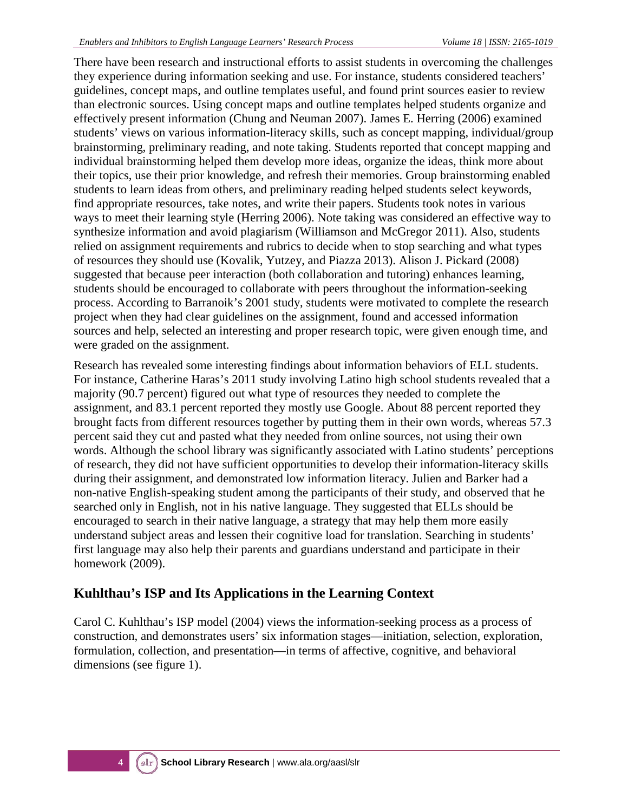There have been research and instructional efforts to assist students in overcoming the challenges they experience during information seeking and use. For instance, students considered teachers' guidelines, concept maps, and outline templates useful, and found print sources easier to review than electronic sources. Using concept maps and outline templates helped students organize and effectively present information (Chung and Neuman 2007). James E. Herring (2006) examined students' views on various information-literacy skills, such as concept mapping, individual/group brainstorming, preliminary reading, and note taking. Students reported that concept mapping and individual brainstorming helped them develop more ideas, organize the ideas, think more about their topics, use their prior knowledge, and refresh their memories. Group brainstorming enabled students to learn ideas from others, and preliminary reading helped students select keywords, find appropriate resources, take notes, and write their papers. Students took notes in various ways to meet their learning style (Herring 2006). Note taking was considered an effective way to synthesize information and avoid plagiarism (Williamson and McGregor 2011). Also, students relied on assignment requirements and rubrics to decide when to stop searching and what types of resources they should use (Kovalik, Yutzey, and Piazza 2013). Alison J. Pickard (2008) suggested that because peer interaction (both collaboration and tutoring) enhances learning, students should be encouraged to collaborate with peers throughout the information-seeking process. According to Barranoik's 2001 study, students were motivated to complete the research project when they had clear guidelines on the assignment, found and accessed information sources and help, selected an interesting and proper research topic, were given enough time, and were graded on the assignment.

Research has revealed some interesting findings about information behaviors of ELL students. For instance, Catherine Haras's 2011 study involving Latino high school students revealed that a majority (90.7 percent) figured out what type of resources they needed to complete the assignment, and 83.1 percent reported they mostly use Google. About 88 percent reported they brought facts from different resources together by putting them in their own words, whereas 57.3 percent said they cut and pasted what they needed from online sources, not using their own words. Although the school library was significantly associated with Latino students' perceptions of research, they did not have sufficient opportunities to develop their information-literacy skills during their assignment, and demonstrated low information literacy. Julien and Barker had a non-native English-speaking student among the participants of their study, and observed that he searched only in English, not in his native language. They suggested that ELLs should be encouraged to search in their native language, a strategy that may help them more easily understand subject areas and lessen their cognitive load for translation. Searching in students' first language may also help their parents and guardians understand and participate in their homework (2009).

#### **Kuhlthau's ISP and Its Applications in the Learning Context**

Carol C. Kuhlthau's ISP model (2004) views the information-seeking process as a process of construction, and demonstrates users' six information stages—initiation, selection, exploration, formulation, collection, and presentation—in terms of affective, cognitive, and behavioral dimensions (see figure 1).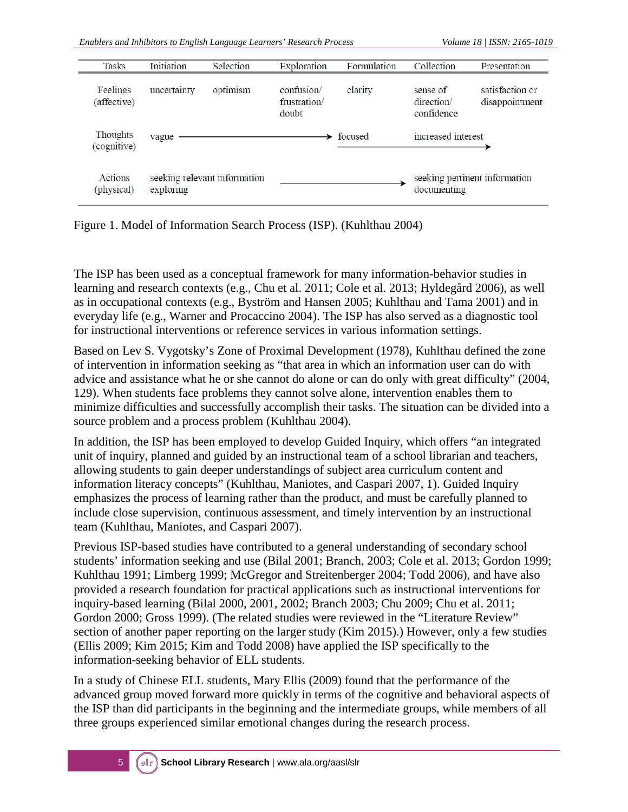| <b>Tasks</b>            | Initiation                                | Selection | Exploration                         | Formulation | Collection                           | Presentation                      |
|-------------------------|-------------------------------------------|-----------|-------------------------------------|-------------|--------------------------------------|-----------------------------------|
| Feelings<br>(affective) | uncertainty                               | optimism  | confusion/<br>frustration/<br>doubt | clarity     | sense of<br>direction/<br>confidence | satisfaction or<br>disappointment |
| Thoughts<br>(cognitive) | vague                                     |           |                                     | focused     | increased interest                   |                                   |
| Actions<br>(physical)   | seeking relevant information<br>exploring |           |                                     |             | documenting                          | seeking pertinent information     |

Figure 1. Model of Information Search Process (ISP). (Kuhlthau 2004)

The ISP has been used as a conceptual framework for many information-behavior studies in learning and research contexts (e.g., Chu et al. 2011; Cole et al. 2013; Hyldegård 2006), as well as in occupational contexts (e.g., Byström and Hansen 2005; Kuhlthau and Tama 2001) and in everyday life (e.g., Warner and Procaccino 2004). The ISP has also served as a diagnostic tool for instructional interventions or reference services in various information settings.

Based on Lev S. Vygotsky's Zone of Proximal Development (1978), Kuhlthau defined the zone of intervention in information seeking as "that area in which an information user can do with advice and assistance what he or she cannot do alone or can do only with great difficulty" (2004, 129). When students face problems they cannot solve alone, intervention enables them to minimize difficulties and successfully accomplish their tasks. The situation can be divided into a source problem and a process problem (Kuhlthau 2004).

In addition, the ISP has been employed to develop Guided Inquiry, which offers "an integrated unit of inquiry, planned and guided by an instructional team of a school librarian and teachers, allowing students to gain deeper understandings of subject area curriculum content and information literacy concepts" (Kuhlthau, Maniotes, and Caspari 2007, 1). Guided Inquiry emphasizes the process of learning rather than the product, and must be carefully planned to include close supervision, continuous assessment, and timely intervention by an instructional team (Kuhlthau, Maniotes, and Caspari 2007).

Previous ISP-based studies have contributed to a general understanding of secondary school students' information seeking and use (Bilal 2001; Branch, 2003; Cole et al. 2013; Gordon 1999; Kuhlthau 1991; Limberg 1999; McGregor and Streitenberger 2004; Todd 2006), and have also provided a research foundation for practical applications such as instructional interventions for inquiry-based learning (Bilal 2000, 2001, 2002; Branch 2003; Chu 2009; Chu et al. 2011; Gordon 2000; Gross 1999). (The related studies were reviewed in the "Literature Review" section of another paper reporting on the larger study (Kim 2015).) However, only a few studies (Ellis 2009; Kim 2015; Kim and Todd 2008) have applied the ISP specifically to the information-seeking behavior of ELL students.

In a study of Chinese ELL students, Mary Ellis (2009) found that the performance of the advanced group moved forward more quickly in terms of the cognitive and behavioral aspects of the ISP than did participants in the beginning and the intermediate groups, while members of all three groups experienced similar emotional changes during the research process.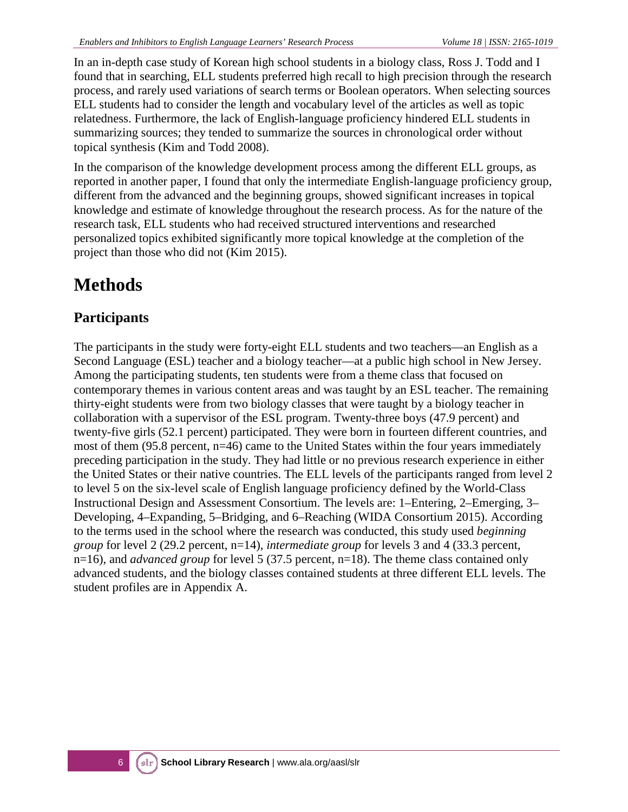In an in-depth case study of Korean high school students in a biology class, Ross J. Todd and I found that in searching, ELL students preferred high recall to high precision through the research process, and rarely used variations of search terms or Boolean operators. When selecting sources ELL students had to consider the length and vocabulary level of the articles as well as topic relatedness. Furthermore, the lack of English-language proficiency hindered ELL students in summarizing sources; they tended to summarize the sources in chronological order without topical synthesis (Kim and Todd 2008).

In the comparison of the knowledge development process among the different ELL groups, as reported in another paper, I found that only the intermediate English-language proficiency group, different from the advanced and the beginning groups, showed significant increases in topical knowledge and estimate of knowledge throughout the research process. As for the nature of the research task, ELL students who had received structured interventions and researched personalized topics exhibited significantly more topical knowledge at the completion of the project than those who did not (Kim 2015).

## **Methods**

### **Participants**

The participants in the study were forty-eight ELL students and two teachers—an English as a Second Language (ESL) teacher and a biology teacher—at a public high school in New Jersey. Among the participating students, ten students were from a theme class that focused on contemporary themes in various content areas and was taught by an ESL teacher. The remaining thirty-eight students were from two biology classes that were taught by a biology teacher in collaboration with a supervisor of the ESL program. Twenty-three boys (47.9 percent) and twenty-five girls (52.1 percent) participated. They were born in fourteen different countries, and most of them (95.8 percent, n=46) came to the United States within the four years immediately preceding participation in the study. They had little or no previous research experience in either the United States or their native countries. The ELL levels of the participants ranged from level 2 to level 5 on the six-level scale of English language proficiency defined by the World-Class Instructional Design and Assessment Consortium. The levels are: 1–Entering, 2–Emerging, 3– Developing, 4–Expanding, 5–Bridging, and 6–Reaching (WIDA Consortium 2015). According to the terms used in the school where the research was conducted, this study used *beginning group* for level 2 (29.2 percent, n=14), *intermediate group* for levels 3 and 4 (33.3 percent, n=16), and *advanced group* for level 5 (37.5 percent, n=18). The theme class contained only advanced students, and the biology classes contained students at three different ELL levels. The student profiles are in Appendix A.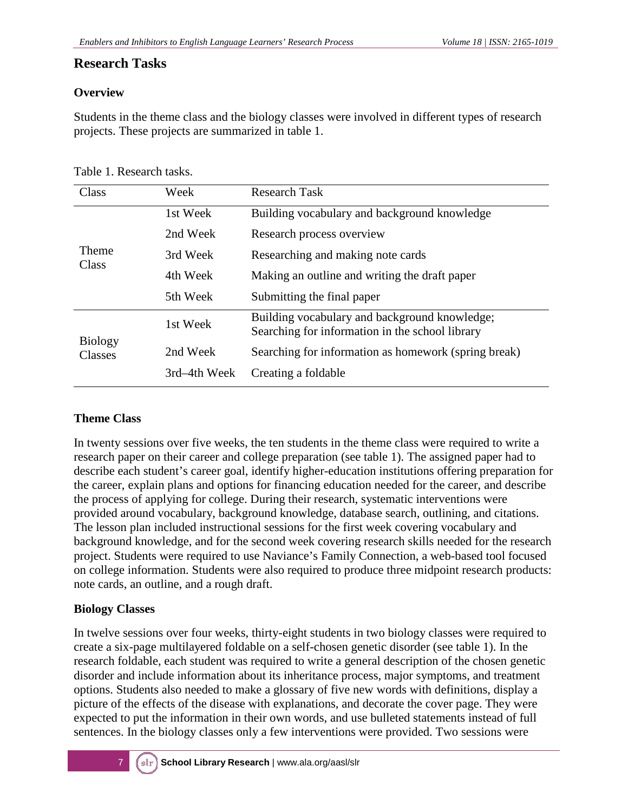#### **Research Tasks**

#### **Overview**

Students in the theme class and the biology classes were involved in different types of research projects. These projects are summarized in table 1.

| Class                     | Week         | <b>Research Task</b>                                                                             |  |
|---------------------------|--------------|--------------------------------------------------------------------------------------------------|--|
|                           | 1st Week     | Building vocabulary and background knowledge                                                     |  |
|                           | 2nd Week     | Research process overview                                                                        |  |
| <b>Theme</b><br>Class     | 3rd Week     | Researching and making note cards                                                                |  |
|                           | 4th Week     | Making an outline and writing the draft paper                                                    |  |
|                           | 5th Week     | Submitting the final paper                                                                       |  |
|                           | 1st Week     | Building vocabulary and background knowledge;<br>Searching for information in the school library |  |
| <b>Biology</b><br>Classes | 2nd Week     | Searching for information as homework (spring break)                                             |  |
|                           | 3rd-4th Week | Creating a foldable                                                                              |  |

Table 1. Research tasks.

#### **Theme Class**

In twenty sessions over five weeks, the ten students in the theme class were required to write a research paper on their career and college preparation (see table 1). The assigned paper had to describe each student's career goal, identify higher-education institutions offering preparation for the career, explain plans and options for financing education needed for the career, and describe the process of applying for college. During their research, systematic interventions were provided around vocabulary, background knowledge, database search, outlining, and citations. The lesson plan included instructional sessions for the first week covering vocabulary and background knowledge, and for the second week covering research skills needed for the research project. Students were required to use Naviance's Family Connection, a web-based tool focused on college information. Students were also required to produce three midpoint research products: note cards, an outline, and a rough draft.

#### **Biology Classes**

In twelve sessions over four weeks, thirty-eight students in two biology classes were required to create a six-page multilayered foldable on a self-chosen genetic disorder (see table 1). In the research foldable, each student was required to write a general description of the chosen genetic disorder and include information about its inheritance process, major symptoms, and treatment options. Students also needed to make a glossary of five new words with definitions, display a picture of the effects of the disease with explanations, and decorate the cover page. They were expected to put the information in their own words, and use bulleted statements instead of full sentences. In the biology classes only a few interventions were provided. Two sessions were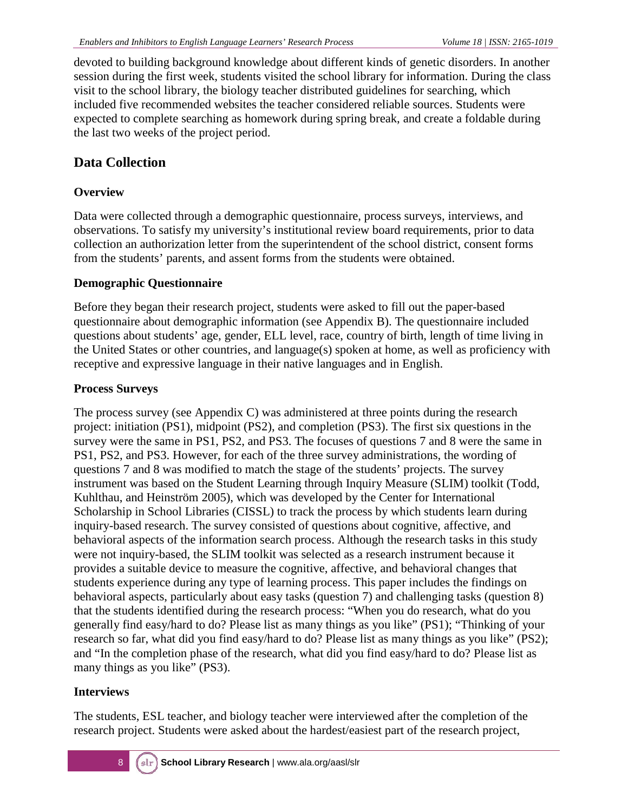devoted to building background knowledge about different kinds of genetic disorders. In another session during the first week, students visited the school library for information. During the class visit to the school library, the biology teacher distributed guidelines for searching, which included five recommended websites the teacher considered reliable sources. Students were expected to complete searching as homework during spring break, and create a foldable during the last two weeks of the project period.

#### **Data Collection**

#### **Overview**

Data were collected through a demographic questionnaire, process surveys, interviews, and observations. To satisfy my university's institutional review board requirements, prior to data collection an authorization letter from the superintendent of the school district, consent forms from the students' parents, and assent forms from the students were obtained.

#### **Demographic Questionnaire**

Before they began their research project, students were asked to fill out the paper-based questionnaire about demographic information (see Appendix B). The questionnaire included questions about students' age, gender, ELL level, race, country of birth, length of time living in the United States or other countries, and language(s) spoken at home, as well as proficiency with receptive and expressive language in their native languages and in English.

#### **Process Surveys**

The process survey (see Appendix C) was administered at three points during the research project: initiation (PS1), midpoint (PS2), and completion (PS3). The first six questions in the survey were the same in PS1, PS2, and PS3. The focuses of questions 7 and 8 were the same in PS1, PS2, and PS3. However, for each of the three survey administrations, the wording of questions 7 and 8 was modified to match the stage of the students' projects. The survey instrument was based on the Student Learning through Inquiry Measure (SLIM) toolkit (Todd, Kuhlthau, and Heinström 2005), which was developed by the Center for International Scholarship in School Libraries (CISSL) to track the process by which students learn during inquiry-based research. The survey consisted of questions about cognitive, affective, and behavioral aspects of the information search process. Although the research tasks in this study were not inquiry-based, the SLIM toolkit was selected as a research instrument because it provides a suitable device to measure the cognitive, affective, and behavioral changes that students experience during any type of learning process. This paper includes the findings on behavioral aspects, particularly about easy tasks (question 7) and challenging tasks (question 8) that the students identified during the research process: "When you do research, what do you generally find easy/hard to do? Please list as many things as you like" (PS1); "Thinking of your research so far, what did you find easy/hard to do? Please list as many things as you like" (PS2); and "In the completion phase of the research, what did you find easy/hard to do? Please list as many things as you like" (PS3).

#### **Interviews**

The students, ESL teacher, and biology teacher were interviewed after the completion of the research project. Students were asked about the hardest/easiest part of the research project,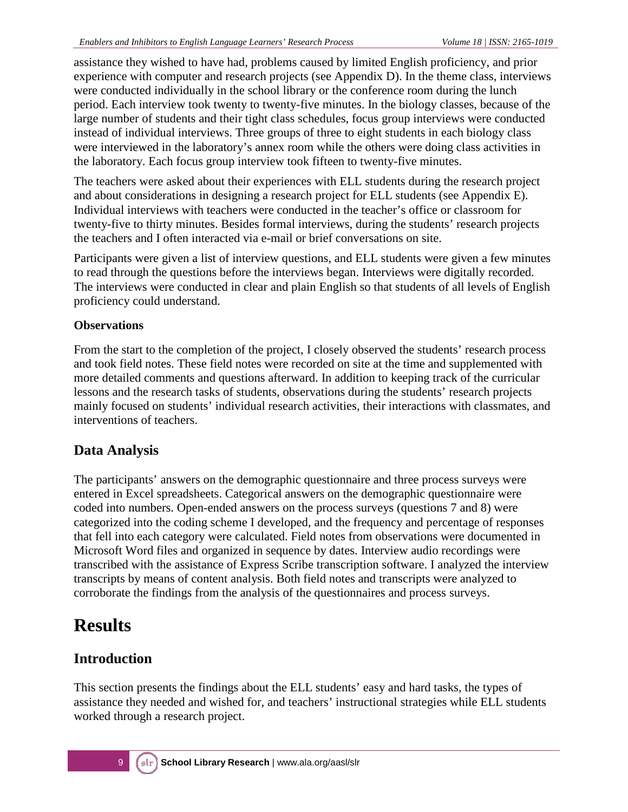assistance they wished to have had, problems caused by limited English proficiency, and prior experience with computer and research projects (see Appendix D). In the theme class, interviews were conducted individually in the school library or the conference room during the lunch period. Each interview took twenty to twenty-five minutes. In the biology classes, because of the large number of students and their tight class schedules, focus group interviews were conducted instead of individual interviews. Three groups of three to eight students in each biology class were interviewed in the laboratory's annex room while the others were doing class activities in the laboratory. Each focus group interview took fifteen to twenty-five minutes.

The teachers were asked about their experiences with ELL students during the research project and about considerations in designing a research project for ELL students (see Appendix E). Individual interviews with teachers were conducted in the teacher's office or classroom for twenty-five to thirty minutes. Besides formal interviews, during the students' research projects the teachers and I often interacted via e-mail or brief conversations on site.

Participants were given a list of interview questions, and ELL students were given a few minutes to read through the questions before the interviews began. Interviews were digitally recorded. The interviews were conducted in clear and plain English so that students of all levels of English proficiency could understand.

#### **Observations**

From the start to the completion of the project, I closely observed the students' research process and took field notes. These field notes were recorded on site at the time and supplemented with more detailed comments and questions afterward. In addition to keeping track of the curricular lessons and the research tasks of students, observations during the students' research projects mainly focused on students' individual research activities, their interactions with classmates, and interventions of teachers.

### **Data Analysis**

The participants' answers on the demographic questionnaire and three process surveys were entered in Excel spreadsheets. Categorical answers on the demographic questionnaire were coded into numbers. Open-ended answers on the process surveys (questions 7 and 8) were categorized into the coding scheme I developed, and the frequency and percentage of responses that fell into each category were calculated. Field notes from observations were documented in Microsoft Word files and organized in sequence by dates. Interview audio recordings were transcribed with the assistance of Express Scribe transcription software. I analyzed the interview transcripts by means of content analysis. Both field notes and transcripts were analyzed to corroborate the findings from the analysis of the questionnaires and process surveys.

### **Results**

### **Introduction**

This section presents the findings about the ELL students' easy and hard tasks, the types of assistance they needed and wished for, and teachers' instructional strategies while ELL students worked through a research project.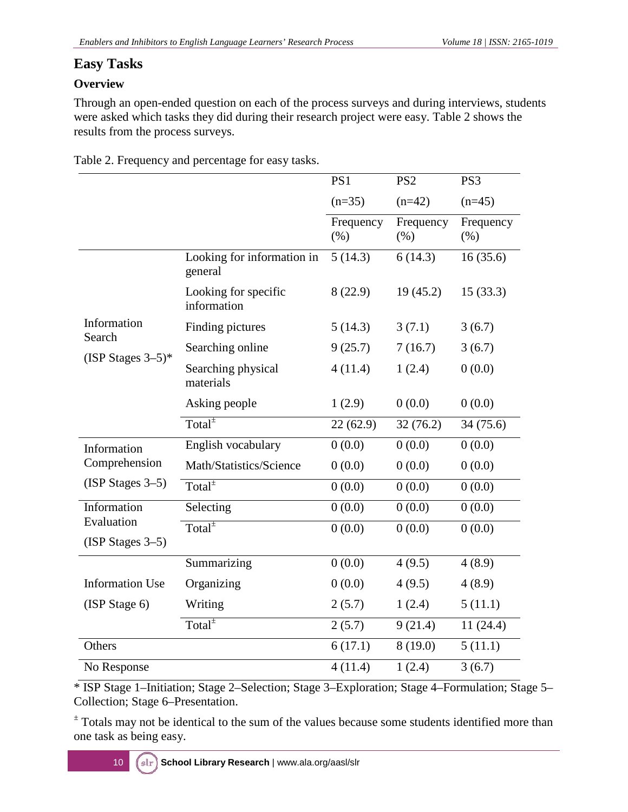#### **Easy Tasks**

#### **Overview**

Through an open-ended question on each of the process surveys and during interviews, students were asked which tasks they did during their research project were easy. Table 2 shows the results from the process surveys.

|                                  |                                       | PS1                  | PS <sub>2</sub>   | PS3                 |
|----------------------------------|---------------------------------------|----------------------|-------------------|---------------------|
|                                  |                                       | $(n=35)$             | $(n=42)$          | $(n=45)$            |
|                                  |                                       | Frequency<br>$(\% )$ | Frequency<br>(% ) | Frequency<br>$(\%)$ |
|                                  | Looking for information in<br>general | 5(14.3)              | 6(14.3)           | 16(35.6)            |
|                                  | Looking for specific<br>information   | 8(22.9)              | 19(45.2)          | 15(33.3)            |
| Information                      | Finding pictures                      | 5(14.3)              | 3(7.1)            | 3(6.7)              |
| Search<br>(ISP Stages $3-5$ )*   | Searching online                      | 9(25.7)              | 7(16.7)           | 3(6.7)              |
|                                  | Searching physical<br>materials       | 4(11.4)              | 1(2.4)            | 0(0.0)              |
|                                  | Asking people                         | 1(2.9)               | 0(0.0)            | 0(0.0)              |
|                                  | Total $\pm$                           | 22(62.9)             | 32(76.2)          | 34(75.6)            |
| Information                      | English vocabulary                    | 0(0.0)               | 0(0.0)            | 0(0.0)              |
| Comprehension                    | Math/Statistics/Science               | 0(0.0)               | 0(0.0)            | 0(0.0)              |
| $(ISP Stages 3-5)$               | Total <sup>±</sup>                    | 0(0.0)               | 0(0.0)            | 0(0.0)              |
| Information                      | Selecting                             | 0(0.0)               | 0(0.0)            | 0(0.0)              |
| Evaluation<br>$(ISP Stages 3-5)$ | Total $^{\pm}$                        | 0(0.0)               | 0(0.0)            | 0(0.0)              |
|                                  | Summarizing                           | 0(0.0)               | 4(9.5)            | 4(8.9)              |
| <b>Information Use</b>           | Organizing                            | 0(0.0)               | 4(9.5)            | 4(8.9)              |
| (ISP Stage 6)                    | Writing                               | 2(5.7)               | 1(2.4)            | 5(11.1)             |
|                                  | Total <sup><math>±</math></sup>       | 2(5.7)               | 9(21.4)           | 11(24.4)            |
| Others                           |                                       | 6(17.1)              | 8(19.0)           | 5(11.1)             |
| No Response                      |                                       | 4(11.4)              | 1(2.4)            | 3(6.7)              |

Table 2. Frequency and percentage for easy tasks.

\* ISP Stage 1–Initiation; Stage 2–Selection; Stage 3–Exploration; Stage 4–Formulation; Stage 5– Collection; Stage 6–Presentation.

<sup>±</sup> Totals may not be identical to the sum of the values because some students identified more than one task as being easy.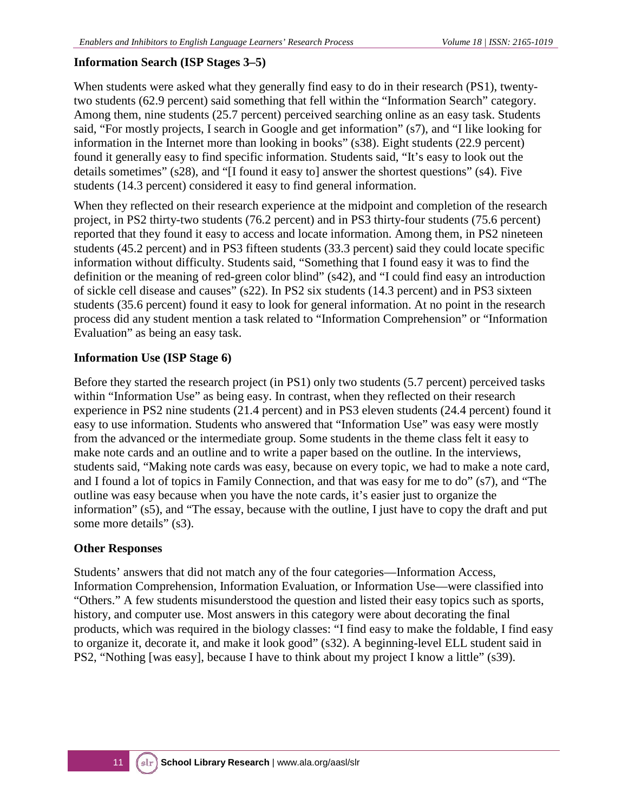#### **Information Search (ISP Stages 3–5)**

When students were asked what they generally find easy to do in their research (PS1), twentytwo students (62.9 percent) said something that fell within the "Information Search" category. Among them, nine students (25.7 percent) perceived searching online as an easy task. Students said, "For mostly projects, I search in Google and get information" (s7), and "I like looking for information in the Internet more than looking in books" (s38). Eight students (22.9 percent) found it generally easy to find specific information. Students said, "It's easy to look out the details sometimes" (s28), and "[I found it easy to] answer the shortest questions" (s4). Five students (14.3 percent) considered it easy to find general information.

When they reflected on their research experience at the midpoint and completion of the research project, in PS2 thirty-two students (76.2 percent) and in PS3 thirty-four students (75.6 percent) reported that they found it easy to access and locate information. Among them, in PS2 nineteen students (45.2 percent) and in PS3 fifteen students (33.3 percent) said they could locate specific information without difficulty. Students said, "Something that I found easy it was to find the definition or the meaning of red-green color blind" (s42), and "I could find easy an introduction of sickle cell disease and causes" (s22). In PS2 six students (14.3 percent) and in PS3 sixteen students (35.6 percent) found it easy to look for general information. At no point in the research process did any student mention a task related to "Information Comprehension" or "Information Evaluation" as being an easy task.

#### **Information Use (ISP Stage 6)**

Before they started the research project (in PS1) only two students (5.7 percent) perceived tasks within "Information Use" as being easy. In contrast, when they reflected on their research experience in PS2 nine students (21.4 percent) and in PS3 eleven students (24.4 percent) found it easy to use information. Students who answered that "Information Use" was easy were mostly from the advanced or the intermediate group. Some students in the theme class felt it easy to make note cards and an outline and to write a paper based on the outline. In the interviews, students said, "Making note cards was easy, because on every topic, we had to make a note card, and I found a lot of topics in Family Connection, and that was easy for me to do" (s7), and "The outline was easy because when you have the note cards, it's easier just to organize the information" (s5), and "The essay, because with the outline, I just have to copy the draft and put some more details" (s3).

#### **Other Responses**

Students' answers that did not match any of the four categories—Information Access, Information Comprehension, Information Evaluation, or Information Use—were classified into "Others." A few students misunderstood the question and listed their easy topics such as sports, history, and computer use. Most answers in this category were about decorating the final products, which was required in the biology classes: "I find easy to make the foldable, I find easy to organize it, decorate it, and make it look good" (s32). A beginning-level ELL student said in PS2, "Nothing [was easy], because I have to think about my project I know a little" (s39).

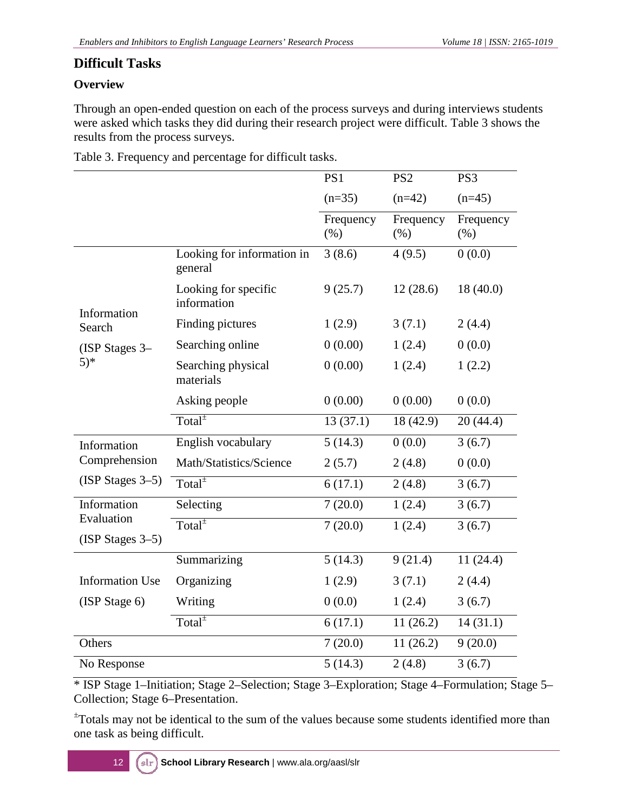#### **Difficult Tasks**

#### **Overview**

Through an open-ended question on each of the process surveys and during interviews students were asked which tasks they did during their research project were difficult. Table 3 shows the results from the process surveys.

| Table 3. Frequency and percentage for difficult tasks. |  |  |
|--------------------------------------------------------|--|--|
|                                                        |  |  |

|                                  |                                       | PS1                  | PS <sub>2</sub>   | PS3               |
|----------------------------------|---------------------------------------|----------------------|-------------------|-------------------|
|                                  |                                       | $(n=35)$             | $(n=42)$          | $(n=45)$          |
|                                  |                                       | Frequency<br>$(\% )$ | Frequency<br>(% ) | Frequency<br>(% ) |
|                                  | Looking for information in<br>general | 3(8.6)               | 4(9.5)            | 0(0.0)            |
| Information                      | Looking for specific<br>information   | 9(25.7)              | 12(28.6)          | 18(40.0)          |
| Search                           | Finding pictures                      | 1(2.9)               | 3(7.1)            | 2(4.4)            |
| $(ISP Stages 3-$                 | Searching online                      | 0(0.00)              | 1(2.4)            | 0(0.0)            |
| $(5)^*$                          | Searching physical<br>materials       | 0(0.00)              | 1(2.4)            | 1(2.2)            |
|                                  | Asking people                         | 0(0.00)              | 0(0.00)           | 0(0.0)            |
|                                  | Total $\overline{ }$                  | 13(37.1)             | 18 (42.9)         | 20(44.4)          |
| Information                      | English vocabulary                    | 5(14.3)              | 0(0.0)            | 3(6.7)            |
| Comprehension                    | Math/Statistics/Science               | 2(5.7)               | 2(4.8)            | 0(0.0)            |
| $(ISP Stages 3-5)$               | $\overline{\text{Total}^{\pm}}$       | 6(17.1)              | 2(4.8)            | 3(6.7)            |
| Information                      | Selecting                             | 7(20.0)              | 1(2.4)            | 3(6.7)            |
| Evaluation<br>$(ISP Stages 3-5)$ | Total <sup>±</sup>                    | 7(20.0)              | 1(2.4)            | 3(6.7)            |
|                                  | Summarizing                           | 5(14.3)              | 9(21.4)           | 11(24.4)          |
| <b>Information Use</b>           | Organizing                            | 1(2.9)               | 3(7.1)            | 2(4.4)            |
| (ISP Stage 6)                    | Writing                               | 0(0.0)               | 1(2.4)            | 3(6.7)            |
|                                  | $Total^{\pm}$                         | 6(17.1)              | 11(26.2)          | 14(31.1)          |
| Others                           |                                       | 7(20.0)              | 11(26.2)          | 9(20.0)           |
| No Response                      |                                       | 5(14.3)              | 2(4.8)            | 3(6.7)            |

\* ISP Stage 1–Initiation; Stage 2–Selection; Stage 3–Exploration; Stage 4–Formulation; Stage 5– Collection; Stage 6–Presentation.

± Totals may not be identical to the sum of the values because some students identified more than one task as being difficult.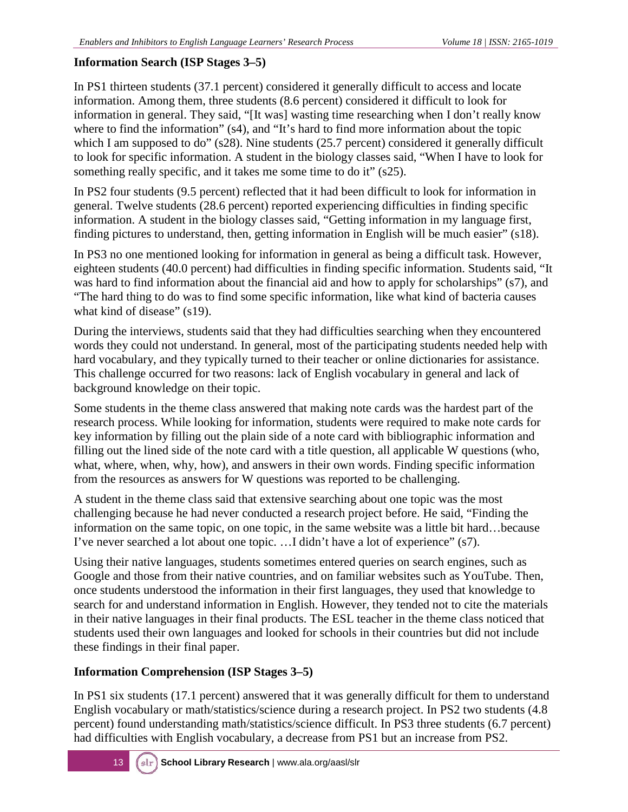#### **Information Search (ISP Stages 3–5)**

In PS1 thirteen students (37.1 percent) considered it generally difficult to access and locate information. Among them, three students (8.6 percent) considered it difficult to look for information in general. They said, "[It was] wasting time researching when I don't really know where to find the information" (s4), and "It's hard to find more information about the topic which I am supposed to do" (s28). Nine students (25.7 percent) considered it generally difficult to look for specific information. A student in the biology classes said, "When I have to look for something really specific, and it takes me some time to do it" (s25).

In PS2 four students (9.5 percent) reflected that it had been difficult to look for information in general. Twelve students (28.6 percent) reported experiencing difficulties in finding specific information. A student in the biology classes said, "Getting information in my language first, finding pictures to understand, then, getting information in English will be much easier" (s18).

In PS3 no one mentioned looking for information in general as being a difficult task. However, eighteen students (40.0 percent) had difficulties in finding specific information. Students said, "It was hard to find information about the financial aid and how to apply for scholarships" (s7), and "The hard thing to do was to find some specific information, like what kind of bacteria causes what kind of disease" (s19).

During the interviews, students said that they had difficulties searching when they encountered words they could not understand. In general, most of the participating students needed help with hard vocabulary, and they typically turned to their teacher or online dictionaries for assistance. This challenge occurred for two reasons: lack of English vocabulary in general and lack of background knowledge on their topic.

Some students in the theme class answered that making note cards was the hardest part of the research process. While looking for information, students were required to make note cards for key information by filling out the plain side of a note card with bibliographic information and filling out the lined side of the note card with a title question, all applicable W questions (who, what, where, when, why, how), and answers in their own words. Finding specific information from the resources as answers for W questions was reported to be challenging.

A student in the theme class said that extensive searching about one topic was the most challenging because he had never conducted a research project before. He said, "Finding the information on the same topic, on one topic, in the same website was a little bit hard…because I've never searched a lot about one topic. …I didn't have a lot of experience" (s7).

Using their native languages, students sometimes entered queries on search engines, such as Google and those from their native countries, and on familiar websites such as YouTube. Then, once students understood the information in their first languages, they used that knowledge to search for and understand information in English. However, they tended not to cite the materials in their native languages in their final products. The ESL teacher in the theme class noticed that students used their own languages and looked for schools in their countries but did not include these findings in their final paper.

#### **Information Comprehension (ISP Stages 3–5)**

In PS1 six students (17.1 percent) answered that it was generally difficult for them to understand English vocabulary or math/statistics/science during a research project. In PS2 two students (4.8 percent) found understanding math/statistics/science difficult. In PS3 three students (6.7 percent) had difficulties with English vocabulary, a decrease from PS1 but an increase from PS2.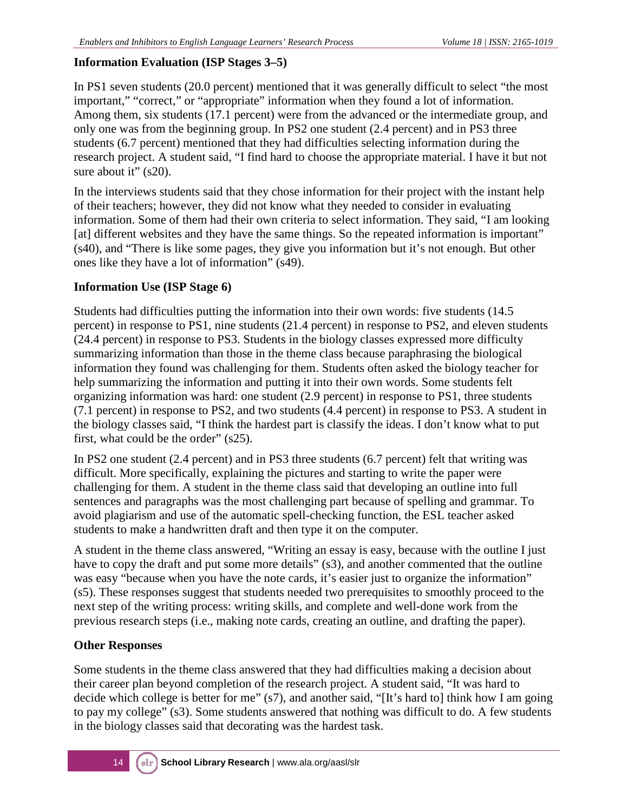#### **Information Evaluation (ISP Stages 3–5)**

In PS1 seven students (20.0 percent) mentioned that it was generally difficult to select "the most important," "correct," or "appropriate" information when they found a lot of information. Among them, six students (17.1 percent) were from the advanced or the intermediate group, and only one was from the beginning group. In PS2 one student (2.4 percent) and in PS3 three students (6.7 percent) mentioned that they had difficulties selecting information during the research project. A student said, "I find hard to choose the appropriate material. I have it but not sure about it" (s20).

In the interviews students said that they chose information for their project with the instant help of their teachers; however, they did not know what they needed to consider in evaluating information. Some of them had their own criteria to select information. They said, "I am looking [at] different websites and they have the same things. So the repeated information is important" (s40), and "There is like some pages, they give you information but it's not enough. But other ones like they have a lot of information" (s49).

#### **Information Use (ISP Stage 6)**

Students had difficulties putting the information into their own words: five students (14.5 percent) in response to PS1, nine students (21.4 percent) in response to PS2, and eleven students (24.4 percent) in response to PS3. Students in the biology classes expressed more difficulty summarizing information than those in the theme class because paraphrasing the biological information they found was challenging for them. Students often asked the biology teacher for help summarizing the information and putting it into their own words. Some students felt organizing information was hard: one student (2.9 percent) in response to PS1, three students (7.1 percent) in response to PS2, and two students (4.4 percent) in response to PS3. A student in the biology classes said, "I think the hardest part is classify the ideas. I don't know what to put first, what could be the order" (s25).

In PS2 one student (2.4 percent) and in PS3 three students (6.7 percent) felt that writing was difficult. More specifically, explaining the pictures and starting to write the paper were challenging for them. A student in the theme class said that developing an outline into full sentences and paragraphs was the most challenging part because of spelling and grammar. To avoid plagiarism and use of the automatic spell-checking function, the ESL teacher asked students to make a handwritten draft and then type it on the computer.

A student in the theme class answered, "Writing an essay is easy, because with the outline I just have to copy the draft and put some more details" (s3), and another commented that the outline was easy "because when you have the note cards, it's easier just to organize the information" (s5). These responses suggest that students needed two prerequisites to smoothly proceed to the next step of the writing process: writing skills, and complete and well-done work from the previous research steps (i.e., making note cards, creating an outline, and drafting the paper).

#### **Other Responses**

Some students in the theme class answered that they had difficulties making a decision about their career plan beyond completion of the research project. A student said, "It was hard to decide which college is better for me" (s7), and another said, "[It's hard to] think how I am going to pay my college" (s3). Some students answered that nothing was difficult to do. A few students in the biology classes said that decorating was the hardest task.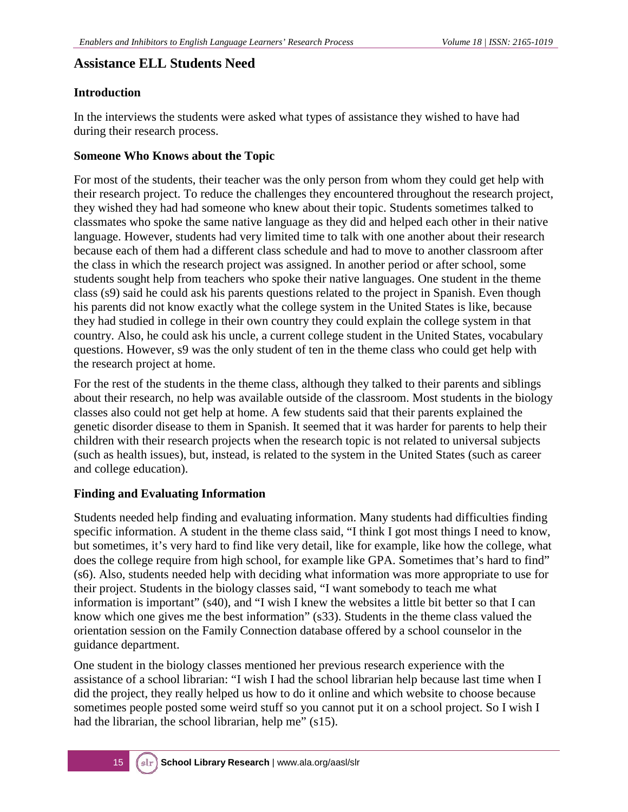#### **Assistance ELL Students Need**

#### **Introduction**

In the interviews the students were asked what types of assistance they wished to have had during their research process.

#### **Someone Who Knows about the Topic**

For most of the students, their teacher was the only person from whom they could get help with their research project. To reduce the challenges they encountered throughout the research project, they wished they had had someone who knew about their topic. Students sometimes talked to classmates who spoke the same native language as they did and helped each other in their native language. However, students had very limited time to talk with one another about their research because each of them had a different class schedule and had to move to another classroom after the class in which the research project was assigned. In another period or after school, some students sought help from teachers who spoke their native languages. One student in the theme class (s9) said he could ask his parents questions related to the project in Spanish. Even though his parents did not know exactly what the college system in the United States is like, because they had studied in college in their own country they could explain the college system in that country. Also, he could ask his uncle, a current college student in the United States, vocabulary questions. However, s9 was the only student of ten in the theme class who could get help with the research project at home.

For the rest of the students in the theme class, although they talked to their parents and siblings about their research, no help was available outside of the classroom. Most students in the biology classes also could not get help at home. A few students said that their parents explained the genetic disorder disease to them in Spanish. It seemed that it was harder for parents to help their children with their research projects when the research topic is not related to universal subjects (such as health issues), but, instead, is related to the system in the United States (such as career and college education).

#### **Finding and Evaluating Information**

Students needed help finding and evaluating information. Many students had difficulties finding specific information. A student in the theme class said, "I think I got most things I need to know, but sometimes, it's very hard to find like very detail, like for example, like how the college, what does the college require from high school, for example like GPA. Sometimes that's hard to find" (s6). Also, students needed help with deciding what information was more appropriate to use for their project. Students in the biology classes said, "I want somebody to teach me what information is important" (s40), and "I wish I knew the websites a little bit better so that I can know which one gives me the best information" (s33). Students in the theme class valued the orientation session on the Family Connection database offered by a school counselor in the guidance department.

One student in the biology classes mentioned her previous research experience with the assistance of a school librarian: "I wish I had the school librarian help because last time when I did the project, they really helped us how to do it online and which website to choose because sometimes people posted some weird stuff so you cannot put it on a school project. So I wish I had the librarian, the school librarian, help me" (s15).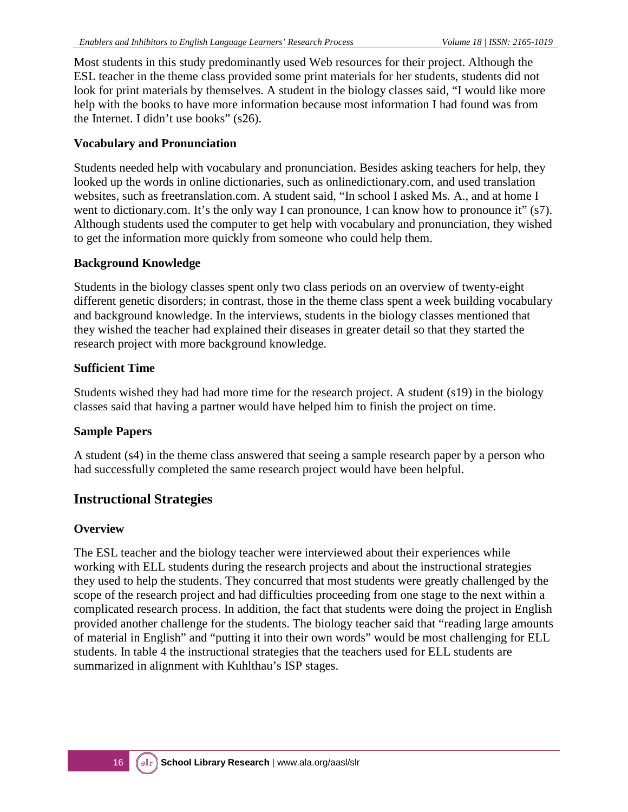Most students in this study predominantly used Web resources for their project. Although the ESL teacher in the theme class provided some print materials for her students, students did not look for print materials by themselves. A student in the biology classes said, "I would like more help with the books to have more information because most information I had found was from the Internet. I didn't use books" (s26).

#### **Vocabulary and Pronunciation**

Students needed help with vocabulary and pronunciation. Besides asking teachers for help, they looked up the words in online dictionaries, such as onlinedictionary.com, and used translation websites, such as freetranslation.com. A student said, "In school I asked Ms. A., and at home I went to dictionary.com. It's the only way I can pronounce, I can know how to pronounce it" (s7). Although students used the computer to get help with vocabulary and pronunciation, they wished to get the information more quickly from someone who could help them.

#### **Background Knowledge**

Students in the biology classes spent only two class periods on an overview of twenty-eight different genetic disorders; in contrast, those in the theme class spent a week building vocabulary and background knowledge. In the interviews, students in the biology classes mentioned that they wished the teacher had explained their diseases in greater detail so that they started the research project with more background knowledge.

#### **Sufficient Time**

Students wished they had had more time for the research project. A student (s19) in the biology classes said that having a partner would have helped him to finish the project on time.

#### **Sample Papers**

A student (s4) in the theme class answered that seeing a sample research paper by a person who had successfully completed the same research project would have been helpful.

#### **Instructional Strategies**

#### **Overview**

The ESL teacher and the biology teacher were interviewed about their experiences while working with ELL students during the research projects and about the instructional strategies they used to help the students. They concurred that most students were greatly challenged by the scope of the research project and had difficulties proceeding from one stage to the next within a complicated research process. In addition, the fact that students were doing the project in English provided another challenge for the students. The biology teacher said that "reading large amounts of material in English" and "putting it into their own words" would be most challenging for ELL students. In table 4 the instructional strategies that the teachers used for ELL students are summarized in alignment with Kuhlthau's ISP stages.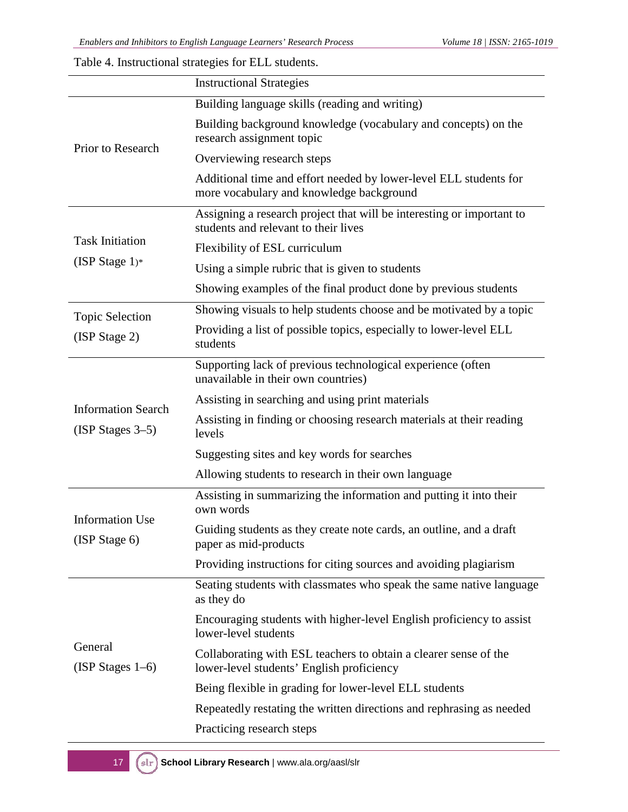Table 4. Instructional strategies for ELL students.

|                                         | <b>Instructional Strategies</b>                                                                               |  |  |  |  |  |
|-----------------------------------------|---------------------------------------------------------------------------------------------------------------|--|--|--|--|--|
|                                         | Building language skills (reading and writing)                                                                |  |  |  |  |  |
|                                         | Building background knowledge (vocabulary and concepts) on the<br>research assignment topic                   |  |  |  |  |  |
| Prior to Research                       | Overviewing research steps                                                                                    |  |  |  |  |  |
|                                         | Additional time and effort needed by lower-level ELL students for<br>more vocabulary and knowledge background |  |  |  |  |  |
|                                         | Assigning a research project that will be interesting or important to<br>students and relevant to their lives |  |  |  |  |  |
| <b>Task Initiation</b>                  | Flexibility of ESL curriculum                                                                                 |  |  |  |  |  |
| (ISP Stage $1$ )*                       | Using a simple rubric that is given to students                                                               |  |  |  |  |  |
|                                         | Showing examples of the final product done by previous students                                               |  |  |  |  |  |
| <b>Topic Selection</b>                  | Showing visuals to help students choose and be motivated by a topic                                           |  |  |  |  |  |
| (ISP Stage 2)                           | Providing a list of possible topics, especially to lower-level ELL<br>students                                |  |  |  |  |  |
|                                         | Supporting lack of previous technological experience (often<br>unavailable in their own countries)            |  |  |  |  |  |
| <b>Information Search</b>               | Assisting in searching and using print materials                                                              |  |  |  |  |  |
| $(ISP Stages 3-5)$                      | Assisting in finding or choosing research materials at their reading<br>levels                                |  |  |  |  |  |
|                                         | Suggesting sites and key words for searches                                                                   |  |  |  |  |  |
|                                         | Allowing students to research in their own language                                                           |  |  |  |  |  |
|                                         | Assisting in summarizing the information and putting it into their<br>own words                               |  |  |  |  |  |
| <b>Information Use</b><br>(ISP Stage 6) | Guiding students as they create note cards, an outline, and a draft<br>paper as mid-products                  |  |  |  |  |  |
|                                         | Providing instructions for citing sources and avoiding plagiarism                                             |  |  |  |  |  |
|                                         | Seating students with classmates who speak the same native language<br>as they do                             |  |  |  |  |  |
|                                         | Encouraging students with higher-level English proficiency to assist<br>lower-level students                  |  |  |  |  |  |
| General<br>$(ISP Stages 1-6)$           | Collaborating with ESL teachers to obtain a clearer sense of the<br>lower-level students' English proficiency |  |  |  |  |  |
|                                         | Being flexible in grading for lower-level ELL students                                                        |  |  |  |  |  |
|                                         | Repeatedly restating the written directions and rephrasing as needed                                          |  |  |  |  |  |
|                                         | Practicing research steps                                                                                     |  |  |  |  |  |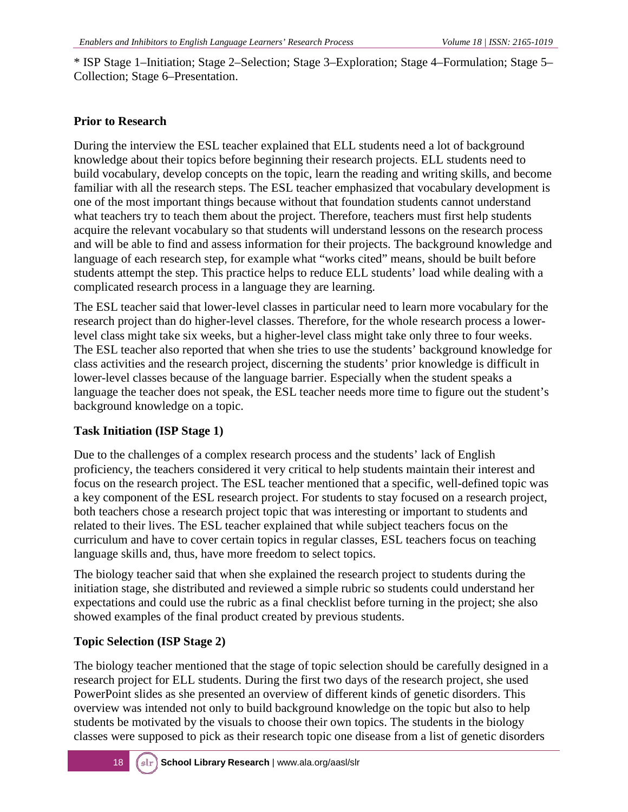\* ISP Stage 1–Initiation; Stage 2–Selection; Stage 3–Exploration; Stage 4–Formulation; Stage 5– Collection; Stage 6–Presentation.

#### **Prior to Research**

During the interview the ESL teacher explained that ELL students need a lot of background knowledge about their topics before beginning their research projects. ELL students need to build vocabulary, develop concepts on the topic, learn the reading and writing skills, and become familiar with all the research steps. The ESL teacher emphasized that vocabulary development is one of the most important things because without that foundation students cannot understand what teachers try to teach them about the project. Therefore, teachers must first help students acquire the relevant vocabulary so that students will understand lessons on the research process and will be able to find and assess information for their projects. The background knowledge and language of each research step, for example what "works cited" means, should be built before students attempt the step. This practice helps to reduce ELL students' load while dealing with a complicated research process in a language they are learning.

The ESL teacher said that lower-level classes in particular need to learn more vocabulary for the research project than do higher-level classes. Therefore, for the whole research process a lowerlevel class might take six weeks, but a higher-level class might take only three to four weeks. The ESL teacher also reported that when she tries to use the students' background knowledge for class activities and the research project, discerning the students' prior knowledge is difficult in lower-level classes because of the language barrier. Especially when the student speaks a language the teacher does not speak, the ESL teacher needs more time to figure out the student's background knowledge on a topic.

#### **Task Initiation (ISP Stage 1)**

Due to the challenges of a complex research process and the students' lack of English proficiency, the teachers considered it very critical to help students maintain their interest and focus on the research project. The ESL teacher mentioned that a specific, well-defined topic was a key component of the ESL research project. For students to stay focused on a research project, both teachers chose a research project topic that was interesting or important to students and related to their lives. The ESL teacher explained that while subject teachers focus on the curriculum and have to cover certain topics in regular classes, ESL teachers focus on teaching language skills and, thus, have more freedom to select topics.

The biology teacher said that when she explained the research project to students during the initiation stage, she distributed and reviewed a simple rubric so students could understand her expectations and could use the rubric as a final checklist before turning in the project; she also showed examples of the final product created by previous students.

#### **Topic Selection (ISP Stage 2)**

The biology teacher mentioned that the stage of topic selection should be carefully designed in a research project for ELL students. During the first two days of the research project, she used PowerPoint slides as she presented an overview of different kinds of genetic disorders. This overview was intended not only to build background knowledge on the topic but also to help students be motivated by the visuals to choose their own topics. The students in the biology classes were supposed to pick as their research topic one disease from a list of genetic disorders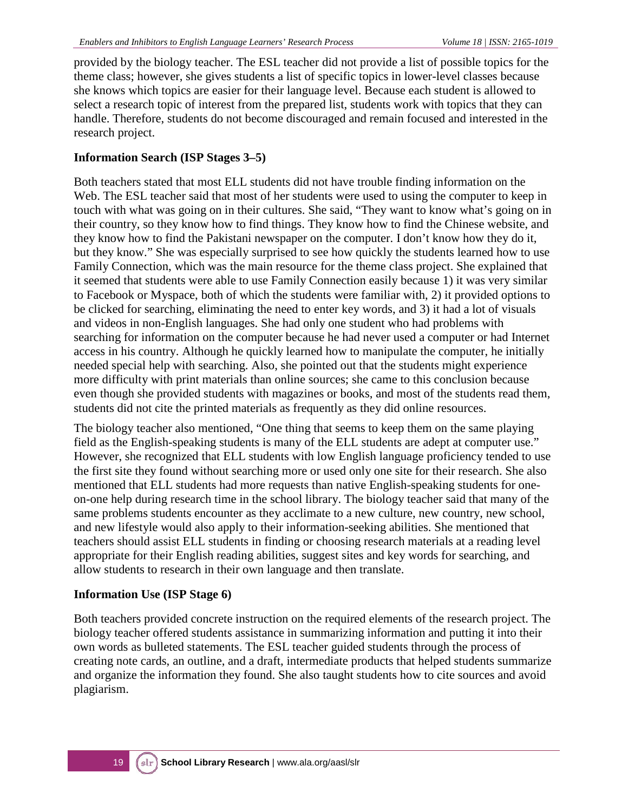provided by the biology teacher. The ESL teacher did not provide a list of possible topics for the theme class; however, she gives students a list of specific topics in lower-level classes because she knows which topics are easier for their language level. Because each student is allowed to select a research topic of interest from the prepared list, students work with topics that they can handle. Therefore, students do not become discouraged and remain focused and interested in the research project.

#### **Information Search (ISP Stages 3–5)**

Both teachers stated that most ELL students did not have trouble finding information on the Web. The ESL teacher said that most of her students were used to using the computer to keep in touch with what was going on in their cultures. She said, "They want to know what's going on in their country, so they know how to find things. They know how to find the Chinese website, and they know how to find the Pakistani newspaper on the computer. I don't know how they do it, but they know." She was especially surprised to see how quickly the students learned how to use Family Connection, which was the main resource for the theme class project. She explained that it seemed that students were able to use Family Connection easily because 1) it was very similar to Facebook or Myspace, both of which the students were familiar with, 2) it provided options to be clicked for searching, eliminating the need to enter key words, and 3) it had a lot of visuals and videos in non-English languages. She had only one student who had problems with searching for information on the computer because he had never used a computer or had Internet access in his country. Although he quickly learned how to manipulate the computer, he initially needed special help with searching. Also, she pointed out that the students might experience more difficulty with print materials than online sources; she came to this conclusion because even though she provided students with magazines or books, and most of the students read them, students did not cite the printed materials as frequently as they did online resources.

The biology teacher also mentioned, "One thing that seems to keep them on the same playing field as the English-speaking students is many of the ELL students are adept at computer use." However, she recognized that ELL students with low English language proficiency tended to use the first site they found without searching more or used only one site for their research. She also mentioned that ELL students had more requests than native English-speaking students for oneon-one help during research time in the school library. The biology teacher said that many of the same problems students encounter as they acclimate to a new culture, new country, new school, and new lifestyle would also apply to their information-seeking abilities. She mentioned that teachers should assist ELL students in finding or choosing research materials at a reading level appropriate for their English reading abilities, suggest sites and key words for searching, and allow students to research in their own language and then translate.

#### **Information Use (ISP Stage 6)**

Both teachers provided concrete instruction on the required elements of the research project. The biology teacher offered students assistance in summarizing information and putting it into their own words as bulleted statements. The ESL teacher guided students through the process of creating note cards, an outline, and a draft, intermediate products that helped students summarize and organize the information they found. She also taught students how to cite sources and avoid plagiarism.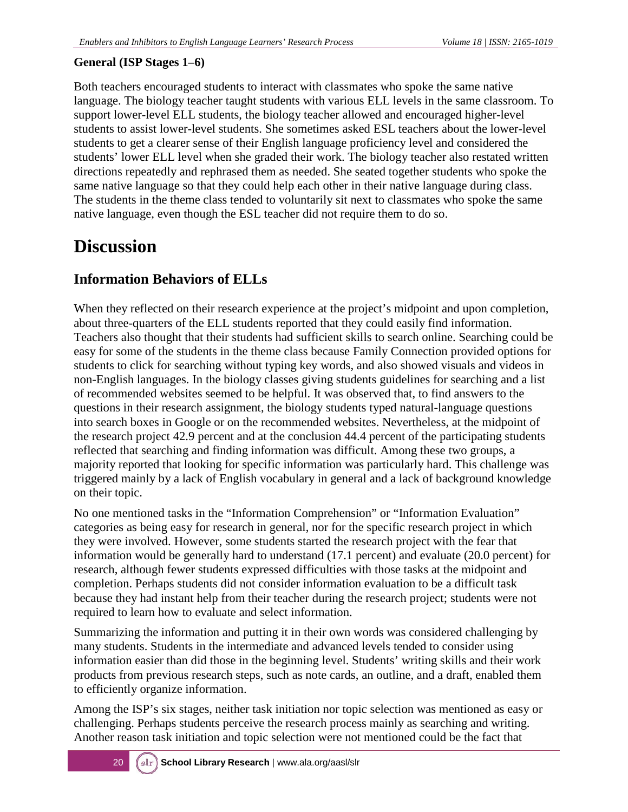#### **General (ISP Stages 1–6)**

Both teachers encouraged students to interact with classmates who spoke the same native language. The biology teacher taught students with various ELL levels in the same classroom. To support lower-level ELL students, the biology teacher allowed and encouraged higher-level students to assist lower-level students. She sometimes asked ESL teachers about the lower-level students to get a clearer sense of their English language proficiency level and considered the students' lower ELL level when she graded their work. The biology teacher also restated written directions repeatedly and rephrased them as needed. She seated together students who spoke the same native language so that they could help each other in their native language during class. The students in the theme class tended to voluntarily sit next to classmates who spoke the same native language, even though the ESL teacher did not require them to do so.

### **Discussion**

#### **Information Behaviors of ELLs**

When they reflected on their research experience at the project's midpoint and upon completion, about three-quarters of the ELL students reported that they could easily find information. Teachers also thought that their students had sufficient skills to search online. Searching could be easy for some of the students in the theme class because Family Connection provided options for students to click for searching without typing key words, and also showed visuals and videos in non-English languages. In the biology classes giving students guidelines for searching and a list of recommended websites seemed to be helpful. It was observed that, to find answers to the questions in their research assignment, the biology students typed natural-language questions into search boxes in Google or on the recommended websites. Nevertheless, at the midpoint of the research project 42.9 percent and at the conclusion 44.4 percent of the participating students reflected that searching and finding information was difficult. Among these two groups, a majority reported that looking for specific information was particularly hard. This challenge was triggered mainly by a lack of English vocabulary in general and a lack of background knowledge on their topic.

No one mentioned tasks in the "Information Comprehension" or "Information Evaluation" categories as being easy for research in general, nor for the specific research project in which they were involved. However, some students started the research project with the fear that information would be generally hard to understand (17.1 percent) and evaluate (20.0 percent) for research, although fewer students expressed difficulties with those tasks at the midpoint and completion. Perhaps students did not consider information evaluation to be a difficult task because they had instant help from their teacher during the research project; students were not required to learn how to evaluate and select information.

Summarizing the information and putting it in their own words was considered challenging by many students. Students in the intermediate and advanced levels tended to consider using information easier than did those in the beginning level. Students' writing skills and their work products from previous research steps, such as note cards, an outline, and a draft, enabled them to efficiently organize information.

Among the ISP's six stages, neither task initiation nor topic selection was mentioned as easy or challenging. Perhaps students perceive the research process mainly as searching and writing. Another reason task initiation and topic selection were not mentioned could be the fact that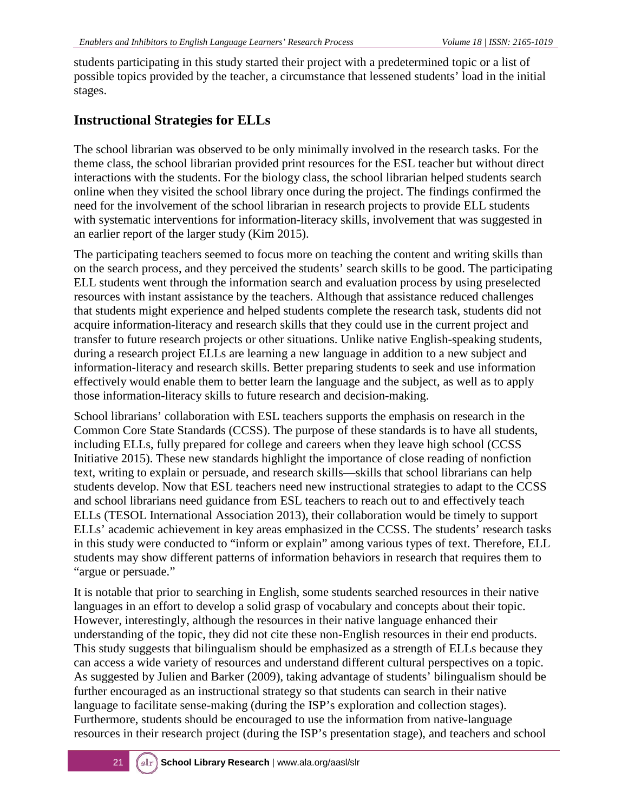students participating in this study started their project with a predetermined topic or a list of possible topics provided by the teacher, a circumstance that lessened students' load in the initial stages.

#### **Instructional Strategies for ELLs**

The school librarian was observed to be only minimally involved in the research tasks. For the theme class, the school librarian provided print resources for the ESL teacher but without direct interactions with the students. For the biology class, the school librarian helped students search online when they visited the school library once during the project. The findings confirmed the need for the involvement of the school librarian in research projects to provide ELL students with systematic interventions for information-literacy skills, involvement that was suggested in an earlier report of the larger study (Kim 2015).

The participating teachers seemed to focus more on teaching the content and writing skills than on the search process, and they perceived the students' search skills to be good. The participating ELL students went through the information search and evaluation process by using preselected resources with instant assistance by the teachers. Although that assistance reduced challenges that students might experience and helped students complete the research task, students did not acquire information-literacy and research skills that they could use in the current project and transfer to future research projects or other situations. Unlike native English-speaking students, during a research project ELLs are learning a new language in addition to a new subject and information-literacy and research skills. Better preparing students to seek and use information effectively would enable them to better learn the language and the subject, as well as to apply those information-literacy skills to future research and decision-making.

School librarians' collaboration with ESL teachers supports the emphasis on research in the Common Core State Standards (CCSS). The purpose of these standards is to have all students, including ELLs, fully prepared for college and careers when they leave high school (CCSS Initiative 2015). These new standards highlight the importance of close reading of nonfiction text, writing to explain or persuade, and research skills—skills that school librarians can help students develop. Now that ESL teachers need new instructional strategies to adapt to the CCSS and school librarians need guidance from ESL teachers to reach out to and effectively teach ELLs (TESOL International Association 2013), their collaboration would be timely to support ELLs' academic achievement in key areas emphasized in the CCSS. The students' research tasks in this study were conducted to "inform or explain" among various types of text. Therefore, ELL students may show different patterns of information behaviors in research that requires them to "argue or persuade."

It is notable that prior to searching in English, some students searched resources in their native languages in an effort to develop a solid grasp of vocabulary and concepts about their topic. However, interestingly, although the resources in their native language enhanced their understanding of the topic, they did not cite these non-English resources in their end products. This study suggests that bilingualism should be emphasized as a strength of ELLs because they can access a wide variety of resources and understand different cultural perspectives on a topic. As suggested by Julien and Barker (2009), taking advantage of students' bilingualism should be further encouraged as an instructional strategy so that students can search in their native language to facilitate sense-making (during the ISP's exploration and collection stages). Furthermore, students should be encouraged to use the information from native-language resources in their research project (during the ISP's presentation stage), and teachers and school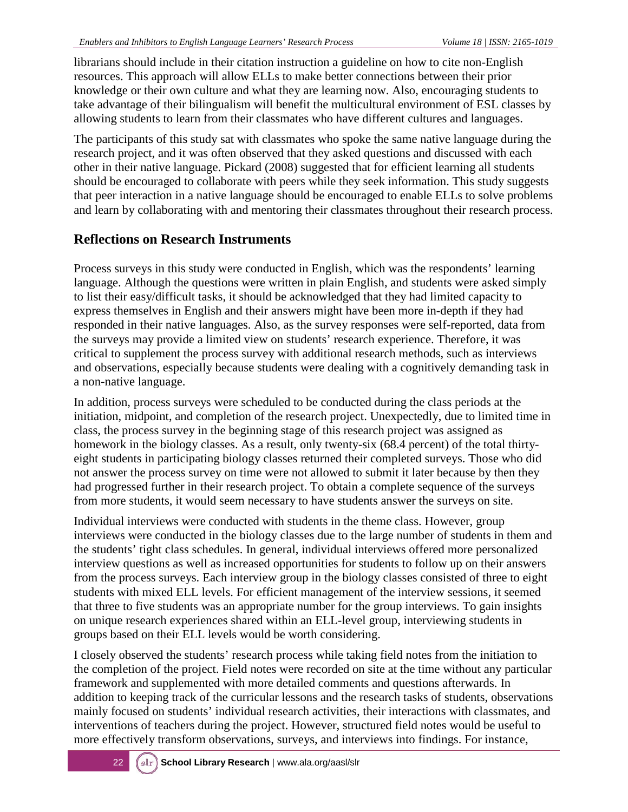librarians should include in their citation instruction a guideline on how to cite non-English resources. This approach will allow ELLs to make better connections between their prior knowledge or their own culture and what they are learning now. Also, encouraging students to take advantage of their bilingualism will benefit the multicultural environment of ESL classes by allowing students to learn from their classmates who have different cultures and languages.

The participants of this study sat with classmates who spoke the same native language during the research project, and it was often observed that they asked questions and discussed with each other in their native language. Pickard (2008) suggested that for efficient learning all students should be encouraged to collaborate with peers while they seek information. This study suggests that peer interaction in a native language should be encouraged to enable ELLs to solve problems and learn by collaborating with and mentoring their classmates throughout their research process.

#### **Reflections on Research Instruments**

Process surveys in this study were conducted in English, which was the respondents' learning language. Although the questions were written in plain English, and students were asked simply to list their easy/difficult tasks, it should be acknowledged that they had limited capacity to express themselves in English and their answers might have been more in-depth if they had responded in their native languages. Also, as the survey responses were self-reported, data from the surveys may provide a limited view on students' research experience. Therefore, it was critical to supplement the process survey with additional research methods, such as interviews and observations, especially because students were dealing with a cognitively demanding task in a non-native language.

In addition, process surveys were scheduled to be conducted during the class periods at the initiation, midpoint, and completion of the research project. Unexpectedly, due to limited time in class, the process survey in the beginning stage of this research project was assigned as homework in the biology classes. As a result, only twenty-six (68.4 percent) of the total thirtyeight students in participating biology classes returned their completed surveys. Those who did not answer the process survey on time were not allowed to submit it later because by then they had progressed further in their research project. To obtain a complete sequence of the surveys from more students, it would seem necessary to have students answer the surveys on site.

Individual interviews were conducted with students in the theme class. However, group interviews were conducted in the biology classes due to the large number of students in them and the students' tight class schedules. In general, individual interviews offered more personalized interview questions as well as increased opportunities for students to follow up on their answers from the process surveys. Each interview group in the biology classes consisted of three to eight students with mixed ELL levels. For efficient management of the interview sessions, it seemed that three to five students was an appropriate number for the group interviews. To gain insights on unique research experiences shared within an ELL-level group, interviewing students in groups based on their ELL levels would be worth considering.

I closely observed the students' research process while taking field notes from the initiation to the completion of the project. Field notes were recorded on site at the time without any particular framework and supplemented with more detailed comments and questions afterwards. In addition to keeping track of the curricular lessons and the research tasks of students, observations mainly focused on students' individual research activities, their interactions with classmates, and interventions of teachers during the project. However, structured field notes would be useful to more effectively transform observations, surveys, and interviews into findings. For instance,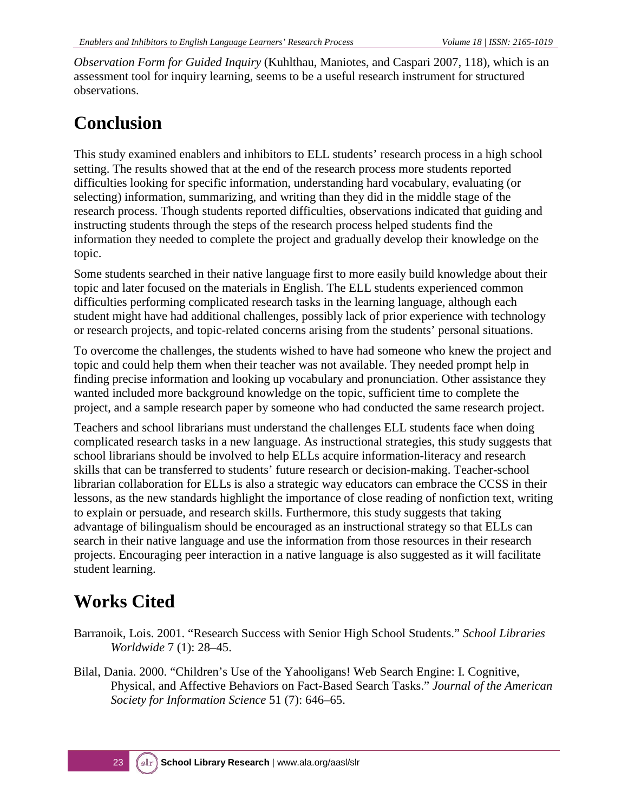*Observation Form for Guided Inquiry* (Kuhlthau, Maniotes, and Caspari 2007, 118), which is an assessment tool for inquiry learning, seems to be a useful research instrument for structured observations.

## **Conclusion**

This study examined enablers and inhibitors to ELL students' research process in a high school setting. The results showed that at the end of the research process more students reported difficulties looking for specific information, understanding hard vocabulary, evaluating (or selecting) information, summarizing, and writing than they did in the middle stage of the research process. Though students reported difficulties, observations indicated that guiding and instructing students through the steps of the research process helped students find the information they needed to complete the project and gradually develop their knowledge on the topic.

Some students searched in their native language first to more easily build knowledge about their topic and later focused on the materials in English. The ELL students experienced common difficulties performing complicated research tasks in the learning language, although each student might have had additional challenges, possibly lack of prior experience with technology or research projects, and topic-related concerns arising from the students' personal situations.

To overcome the challenges, the students wished to have had someone who knew the project and topic and could help them when their teacher was not available. They needed prompt help in finding precise information and looking up vocabulary and pronunciation. Other assistance they wanted included more background knowledge on the topic, sufficient time to complete the project, and a sample research paper by someone who had conducted the same research project.

Teachers and school librarians must understand the challenges ELL students face when doing complicated research tasks in a new language. As instructional strategies, this study suggests that school librarians should be involved to help ELLs acquire information-literacy and research skills that can be transferred to students' future research or decision-making. Teacher-school librarian collaboration for ELLs is also a strategic way educators can embrace the CCSS in their lessons, as the new standards highlight the importance of close reading of nonfiction text, writing to explain or persuade, and research skills. Furthermore, this study suggests that taking advantage of bilingualism should be encouraged as an instructional strategy so that ELLs can search in their native language and use the information from those resources in their research projects. Encouraging peer interaction in a native language is also suggested as it will facilitate student learning.

## **Works Cited**

- Barranoik, Lois. 2001. "Research Success with Senior High School Students." *School Libraries Worldwide* 7 (1): 28–45.
- Bilal, Dania. 2000. "Children's Use of the Yahooligans! Web Search Engine: I. Cognitive, Physical, and Affective Behaviors on Fact-Based Search Tasks." *Journal of the American Society for Information Science* 51 (7): 646–65.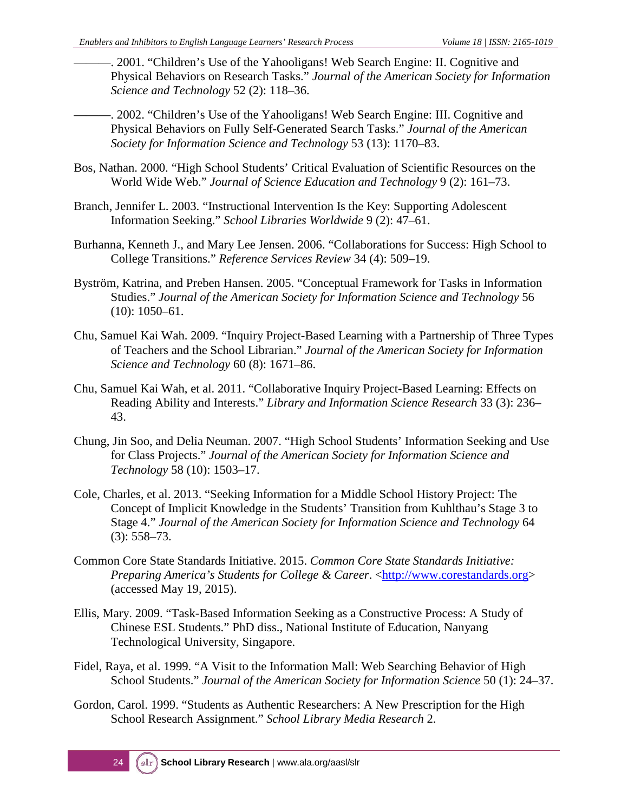- . 2001. "Children's Use of the Yahooligans! Web Search Engine: II. Cognitive and Physical Behaviors on Research Tasks." *Journal of the American Society for Information Science and Technology* 52 (2): 118–36.
- -. 2002. "Children's Use of the Yahooligans! Web Search Engine: III. Cognitive and Physical Behaviors on Fully Self-Generated Search Tasks." *Journal of the American Society for Information Science and Technology* 53 (13): 1170–83.
- Bos, Nathan. 2000. "High School Students' Critical Evaluation of Scientific Resources on the World Wide Web." *Journal of Science Education and Technology* 9 (2): 161–73.
- Branch, Jennifer L. 2003. "Instructional Intervention Is the Key: Supporting Adolescent Information Seeking." *School Libraries Worldwide* 9 (2): 47–61.
- Burhanna, Kenneth J., and Mary Lee Jensen. 2006. "Collaborations for Success: High School to College Transitions." *Reference Services Review* 34 (4): 509–19.
- Byström, Katrina, and Preben Hansen. 2005. "Conceptual Framework for Tasks in Information Studies." *Journal of the American Society for Information Science and Technology* 56 (10): 1050–61.
- Chu, Samuel Kai Wah. 2009. "Inquiry Project-Based Learning with a Partnership of Three Types of Teachers and the School Librarian." *Journal of the American Society for Information Science and Technology* 60 (8): 1671–86.
- Chu, Samuel Kai Wah, et al. 2011. "Collaborative Inquiry Project-Based Learning: Effects on Reading Ability and Interests." *Library and Information Science Research* 33 (3): 236– 43.
- Chung, Jin Soo, and Delia Neuman. 2007. "High School Students' Information Seeking and Use for Class Projects." *Journal of the American Society for Information Science and Technology* 58 (10): 1503–17.
- Cole, Charles, et al. 2013. "Seeking Information for a Middle School History Project: The Concept of Implicit Knowledge in the Students' Transition from Kuhlthau's Stage 3 to Stage 4." *Journal of the American Society for Information Science and Technology* 64 (3): 558–73.
- Common Core State Standards Initiative. 2015. *Common Core State Standards Initiative: Preparing America's Students for College & Career.* [<http://www.corestandards.org>](http://www.corestandards.org/) (accessed May 19, 2015).
- Ellis, Mary. 2009. "Task-Based Information Seeking as a Constructive Process: A Study of Chinese ESL Students." PhD diss., National Institute of Education, Nanyang Technological University, Singapore.
- Fidel, Raya, et al. 1999. "A Visit to the Information Mall: Web Searching Behavior of High School Students." *Journal of the American Society for Information Science* 50 (1): 24–37.
- Gordon, Carol. 1999. "Students as Authentic Researchers: A New Prescription for the High School Research Assignment." *School Library Media Research* 2.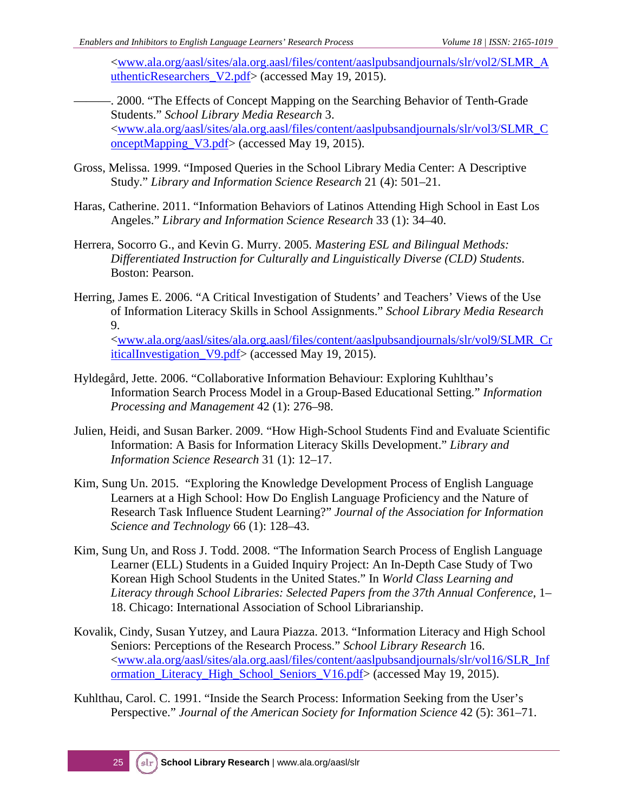[<www.ala.org/aasl/sites/ala.org.aasl/files/content/aaslpubsandjournals/slr/vol2/SLMR\\_A](http://www.ala.org/aasl/sites/ala.org.aasl/files/content/aaslpubsandjournals/slr/vol2/SLMR_AuthenticResearchers_V2.pdf) [uthenticResearchers\\_V2.pdf>](http://www.ala.org/aasl/sites/ala.org.aasl/files/content/aaslpubsandjournals/slr/vol2/SLMR_AuthenticResearchers_V2.pdf) (accessed May 19, 2015).

- -. 2000. "The Effects of Concept Mapping on the Searching Behavior of Tenth-Grade Students." *School Library Media Research* 3. [<www.ala.org/aasl/sites/ala.org.aasl/files/content/aaslpubsandjournals/slr/vol3/SLMR\\_C](http://www.ala.org/aasl/sites/ala.org.aasl/files/content/aaslpubsandjournals/slr/vol3/SLMR_ConceptMapping_V3.pdf) [onceptMapping\\_V3.pdf>](http://www.ala.org/aasl/sites/ala.org.aasl/files/content/aaslpubsandjournals/slr/vol3/SLMR_ConceptMapping_V3.pdf) (accessed May 19, 2015).
- Gross, Melissa. 1999. "Imposed Queries in the School Library Media Center: A Descriptive Study." *Library and Information Science Research* 21 (4): 501–21.
- Haras, Catherine. 2011. "Information Behaviors of Latinos Attending High School in East Los Angeles." *Library and Information Science Research* 33 (1): 34–40.
- Herrera, Socorro G., and Kevin G. Murry. 2005. *Mastering ESL and Bilingual Methods: Differentiated Instruction for Culturally and Linguistically Diverse (CLD) Students*. Boston: Pearson.
- Herring, James E. 2006. "A Critical Investigation of Students' and Teachers' Views of the Use of Information Literacy Skills in School Assignments." *School Library Media Research* 9.

[<www.ala.org/aasl/sites/ala.org.aasl/files/content/aaslpubsandjournals/slr/vol9/SLMR\\_Cr](http://www.ala.org/aasl/sites/ala.org.aasl/files/content/aaslpubsandjournals/slr/vol9/SLMR_CriticalInvestigation_V9.pdf) [iticalInvestigation\\_V9.pdf>](http://www.ala.org/aasl/sites/ala.org.aasl/files/content/aaslpubsandjournals/slr/vol9/SLMR_CriticalInvestigation_V9.pdf) (accessed May 19, 2015).

- Hyldegård, Jette. 2006. "Collaborative Information Behaviour: Exploring Kuhlthau's Information Search Process Model in a Group-Based Educational Setting." *Information Processing and Management* 42 (1): 276–98.
- Julien, Heidi, and Susan Barker. 2009. "How High-School Students Find and Evaluate Scientific Information: A Basis for Information Literacy Skills Development." *Library and Information Science Research* 31 (1): 12–17.
- Kim, Sung Un. 2015. "Exploring the Knowledge Development Process of English Language Learners at a High School: How Do English Language Proficiency and the Nature of Research Task Influence Student Learning?" *Journal of the Association for Information Science and Technology* 66 (1): 128–43.
- Kim, Sung Un, and Ross J. Todd. 2008. "The Information Search Process of English Language Learner (ELL) Students in a Guided Inquiry Project: An In-Depth Case Study of Two Korean High School Students in the United States." In *World Class Learning and Literacy through School Libraries: Selected Papers from the 37th Annual Conference*, 1– 18. Chicago: International Association of School Librarianship.
- Kovalik, Cindy, Susan Yutzey, and Laura Piazza. 2013. "Information Literacy and High School Seniors: Perceptions of the Research Process." *School Library Research* 16. [<www.ala.org/aasl/sites/ala.org.aasl/files/content/aaslpubsandjournals/slr/vol16/SLR\\_Inf](http://www.ala.org/aasl/sites/ala.org.aasl/files/content/aaslpubsandjournals/slr/vol16/SLR_Information_Literacy_High_School_Seniors_V16.pdf) [ormation\\_Literacy\\_High\\_School\\_Seniors\\_V16.pdf>](http://www.ala.org/aasl/sites/ala.org.aasl/files/content/aaslpubsandjournals/slr/vol16/SLR_Information_Literacy_High_School_Seniors_V16.pdf) (accessed May 19, 2015).
- Kuhlthau, Carol. C. 1991. "Inside the Search Process: Information Seeking from the User's Perspective." *Journal of the American Society for Information Science* 42 (5): 361–71.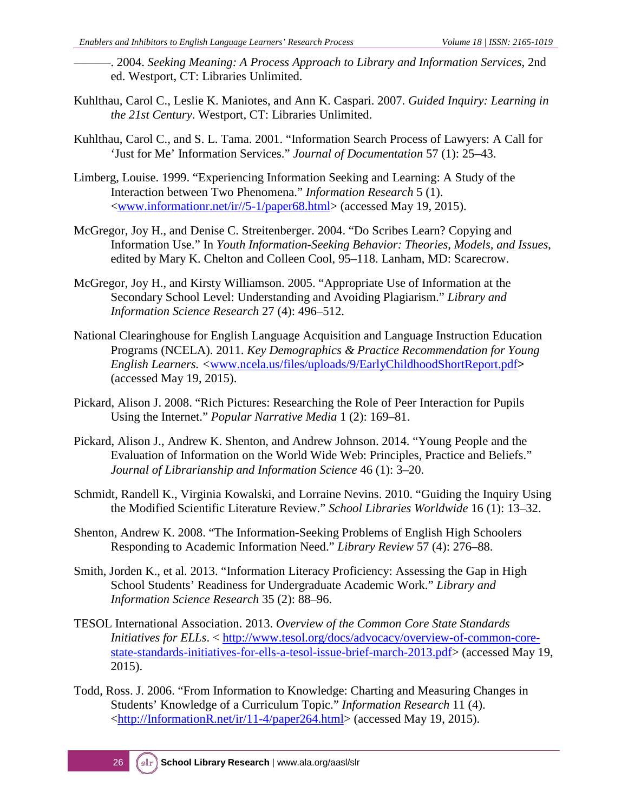- ———. 2004. *Seeking Meaning: A Process Approach to Library and Information Services*, 2nd ed. Westport, CT: Libraries Unlimited.
- Kuhlthau, Carol C., Leslie K. Maniotes, and Ann K. Caspari. 2007. *Guided Inquiry: Learning in the 21st Century*. Westport, CT: Libraries Unlimited.
- Kuhlthau, Carol C., and S. L. Tama. 2001. "Information Search Process of Lawyers: A Call for 'Just for Me' Information Services." *Journal of Documentation* 57 (1): 25–43.
- Limberg, Louise. 1999. "Experiencing Information Seeking and Learning: A Study of the Interaction between Two Phenomena." *Information Research* 5 (1). [<www.informationr.net/ir//5-1/paper68.html>](http://www.informationr.net/ir/5-1/paper68.html) (accessed May 19, 2015).
- McGregor, Joy H., and Denise C. Streitenberger. 2004. "Do Scribes Learn? Copying and Information Use." In *Youth Information-Seeking Behavior: Theories, Models, and Issues*, edited by Mary K. Chelton and Colleen Cool, 95–118. Lanham, MD: Scarecrow.
- McGregor, Joy H., and Kirsty Williamson. 2005. "Appropriate Use of Information at the Secondary School Level: Understanding and Avoiding Plagiarism." *Library and Information Science Research* 27 (4): 496–512.
- National Clearinghouse for English Language Acquisition and Language Instruction Education Programs (NCELA). 2011. *Key Demographics & Practice Recommendation for Young English Learners. <*[www.ncela.us/files/uploads/9/EarlyChildhoodShortReport.pdf](http://www.ncela.us/files/uploads/9/EarlyChildhoodShortReport.pdf)**>** (accessed May 19, 2015).
- Pickard, Alison J. 2008. "Rich Pictures: Researching the Role of Peer Interaction for Pupils Using the Internet." *Popular Narrative Media* 1 (2): 169–81.
- Pickard, Alison J., Andrew K. Shenton, and Andrew Johnson. 2014. "Young People and the Evaluation of Information on the World Wide Web: Principles, Practice and Beliefs." *Journal of Librarianship and Information Science* 46 (1): 3–20.
- Schmidt, Randell K., Virginia Kowalski, and Lorraine Nevins. 2010. "Guiding the Inquiry Using the Modified Scientific Literature Review." *School Libraries Worldwide* 16 (1): 13–32.
- Shenton, Andrew K. 2008. "The Information-Seeking Problems of English High Schoolers Responding to Academic Information Need." *Library Review* 57 (4): 276–88.
- Smith, Jorden K., et al. 2013. "Information Literacy Proficiency: Assessing the Gap in High School Students' Readiness for Undergraduate Academic Work." *Library and Information Science Research* 35 (2): 88–96.
- TESOL International Association. 2013. *Overview of the Common Core State Standards Initiatives for ELLs*. < [http://www.tesol.org/docs/advocacy/overview-of-common-core](http://www.tesol.org/docs/advocacy/overview-of-common-core-state-standards-initiatives-for-ells-a-tesol-issue-brief-march-2013.pdf)[state-standards-initiatives-for-ells-a-tesol-issue-brief-march-2013.pdf>](http://www.tesol.org/docs/advocacy/overview-of-common-core-state-standards-initiatives-for-ells-a-tesol-issue-brief-march-2013.pdf) (accessed May 19, 2015).
- Todd, Ross. J. 2006. "From Information to Knowledge: Charting and Measuring Changes in Students' Knowledge of a Curriculum Topic." *Information Research* 11 (4). [<http://InformationR.net/ir/11-4/paper264.html>](http://informationr.net/ir/11-4/paper264.html) (accessed May 19, 2015).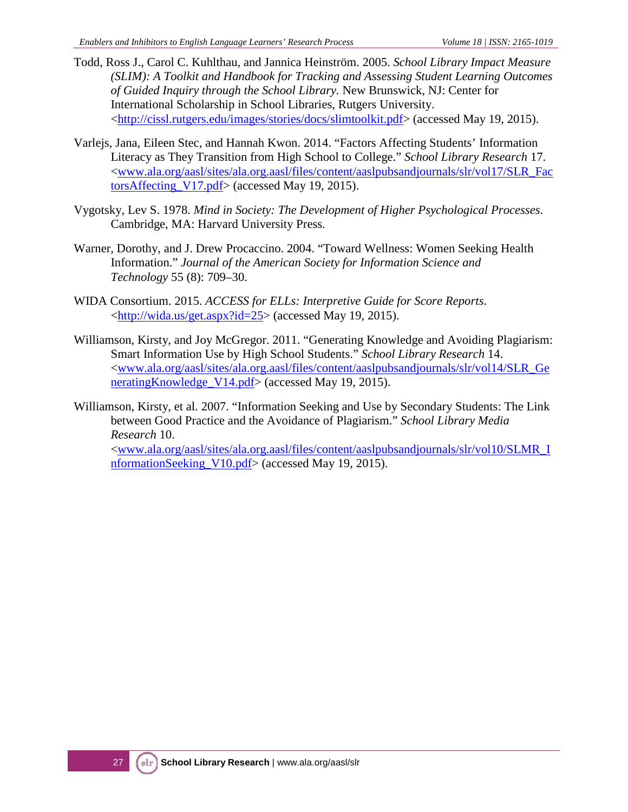- Todd, Ross J., Carol C. Kuhlthau, and Jannica Heinström. 2005. *School Library Impact Measure (SLIM): A Toolkit and Handbook for Tracking and Assessing Student Learning Outcomes of Guided Inquiry through the School Library.* New Brunswick, NJ: Center for International Scholarship in School Libraries, Rutgers University. [<http://cissl.rutgers.edu/images/stories/docs/slimtoolkit.pdf>](http://cissl.rutgers.edu/images/stories/docs/slimtoolkit.pdf) (accessed May 19, 2015).
- Varlejs, Jana, Eileen Stec, and Hannah Kwon. 2014. "Factors Affecting Students' Information Literacy as They Transition from High School to College." *School Library Research* 17. [<www.ala.org/aasl/sites/ala.org.aasl/files/content/aaslpubsandjournals/slr/vol17/SLR\\_Fac](http://www.ala.org/aasl/sites/ala.org.aasl/files/content/aaslpubsandjournals/slr/vol17/SLR_FactorsAffecting_V17.pdf) [torsAffecting\\_V17.pdf>](http://www.ala.org/aasl/sites/ala.org.aasl/files/content/aaslpubsandjournals/slr/vol17/SLR_FactorsAffecting_V17.pdf) (accessed May 19, 2015).
- Vygotsky, Lev S. 1978. *Mind in Society: The Development of Higher Psychological Processes*. Cambridge, MA: Harvard University Press.
- Warner, Dorothy, and J. Drew Procaccino. 2004. "Toward Wellness: Women Seeking Health Information." *Journal of the American Society for Information Science and Technology* 55 (8): 709–30.
- WIDA Consortium. 2015. *ACCESS for ELLs: Interpretive Guide for Score Reports*. [<http://wida.us/get.aspx?id=25>](http://wida.us/get.aspx?id=25) (accessed May 19, 2015).
- Williamson, Kirsty, and Joy McGregor. 2011. "Generating Knowledge and Avoiding Plagiarism: Smart Information Use by High School Students." *School Library Research* 14. [<www.ala.org/aasl/sites/ala.org.aasl/files/content/aaslpubsandjournals/slr/vol14/SLR\\_Ge](http://www.ala.org/aasl/sites/ala.org.aasl/files/content/aaslpubsandjournals/slr/vol14/SLR_GeneratingKnowledge_V14.pdf) [neratingKnowledge\\_V14.pdf>](http://www.ala.org/aasl/sites/ala.org.aasl/files/content/aaslpubsandjournals/slr/vol14/SLR_GeneratingKnowledge_V14.pdf) (accessed May 19, 2015).
- Williamson, Kirsty, et al. 2007. "Information Seeking and Use by Secondary Students: The Link between Good Practice and the Avoidance of Plagiarism." *School Library Media Research* 10. [<www.ala.org/aasl/sites/ala.org.aasl/files/content/aaslpubsandjournals/slr/vol10/SLMR\\_I](http://www.ala.org/aasl/sites/ala.org.aasl/files/content/aaslpubsandjournals/slr/vol10/SLMR_InformationSeeking_V10.pdf) [nformationSeeking\\_V10.pdf>](http://www.ala.org/aasl/sites/ala.org.aasl/files/content/aaslpubsandjournals/slr/vol10/SLMR_InformationSeeking_V10.pdf) (accessed May 19, 2015).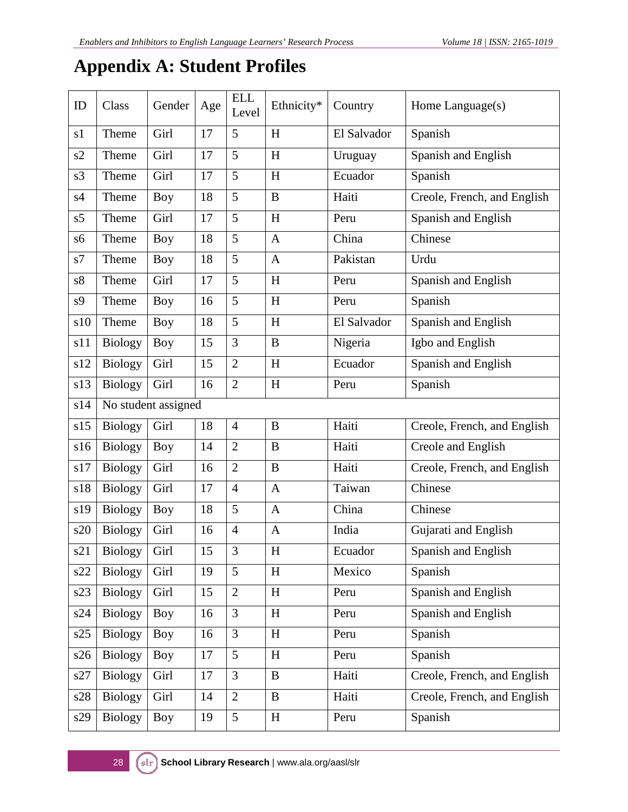### **Appendix A: Student Profiles**

| ID             | Class          | Gender              | Age | <b>ELL</b><br>Level | Ethnicity*   | Country     | Home Language(s)            |
|----------------|----------------|---------------------|-----|---------------------|--------------|-------------|-----------------------------|
| s1             | Theme          | Girl                | 17  | 5                   | H            | El Salvador | Spanish                     |
| s2             | Theme          | Girl                | 17  | 5                   | H            | Uruguay     | Spanish and English         |
| s3             | Theme          | Girl                | 17  | 5                   | H            | Ecuador     | Spanish                     |
| s4             | Theme          | <b>Boy</b>          | 18  | 5                   | $\bf{B}$     | Haiti       | Creole, French, and English |
| s5             | Theme          | Girl                | 17  | 5                   | H            | Peru        | Spanish and English         |
| s6             | Theme          | <b>Boy</b>          | 18  | 5                   | $\mathbf{A}$ | China       | Chinese                     |
| s7             | Theme          | Boy                 | 18  | 5                   | $\mathbf{A}$ | Pakistan    | Urdu                        |
| s <sup>8</sup> | Theme          | Girl                | 17  | 5                   | H            | Peru        | Spanish and English         |
| s9             | Theme          | <b>Boy</b>          | 16  | 5                   | H            | Peru        | Spanish                     |
| s10            | Theme          | Boy                 | 18  | 5                   | H            | El Salvador | Spanish and English         |
| s11            | <b>Biology</b> | <b>Boy</b>          | 15  | 3                   | B            | Nigeria     | Igbo and English            |
| s12            | <b>Biology</b> | Girl                | 15  | $\overline{2}$      | H            | Ecuador     | Spanish and English         |
| s13            | <b>Biology</b> | Girl                | 16  | $\overline{2}$      | H            | Peru        | Spanish                     |
| s14            |                | No student assigned |     |                     |              |             |                             |
| s15            | <b>Biology</b> | Girl                | 18  | $\overline{4}$      | $\bf{B}$     | Haiti       | Creole, French, and English |
| s16            | <b>Biology</b> | <b>Boy</b>          | 14  | $\overline{2}$      | $\bf{B}$     | Haiti       | Creole and English          |
| s17            | <b>Biology</b> | Girl                | 16  | $\overline{2}$      | B            | Haiti       | Creole, French, and English |
| s18            | <b>Biology</b> | Girl                | 17  | $\overline{4}$      | $\mathbf{A}$ | Taiwan      | Chinese                     |
| s19            | <b>Biology</b> | <b>Boy</b>          | 18  | 5                   | $\mathbf{A}$ | China       | Chinese                     |
| s20            | <b>Biology</b> | Girl                | 16  | $\overline{4}$      | $\mathbf{A}$ | India       | Gujarati and English        |
| s21            | Biology        | Girl                | 15  | 3                   | $H_{\rm}$    | Ecuador     | Spanish and English         |
| s22            | <b>Biology</b> | Girl                | 19  | 5                   | H            | Mexico      | Spanish                     |
| s23            | <b>Biology</b> | Girl                | 15  | $\overline{2}$      | H            | Peru        | Spanish and English         |
| s24            | <b>Biology</b> | Boy                 | 16  | 3                   | H            | Peru        | Spanish and English         |
| s25            | <b>Biology</b> | Boy                 | 16  | 3                   | H            | Peru        | Spanish                     |
| s26            | <b>Biology</b> | <b>Boy</b>          | 17  | 5                   | H            | Peru        | Spanish                     |
| s27            | <b>Biology</b> | Girl                | 17  | $\overline{3}$      | $\bf{B}$     | Haiti       | Creole, French, and English |
| s28            | <b>Biology</b> | Girl                | 14  | $\overline{2}$      | $\bf{B}$     | Haiti       | Creole, French, and English |
| s29            | <b>Biology</b> | <b>Boy</b>          | 19  | 5                   | $\,$ H       | Peru        | Spanish                     |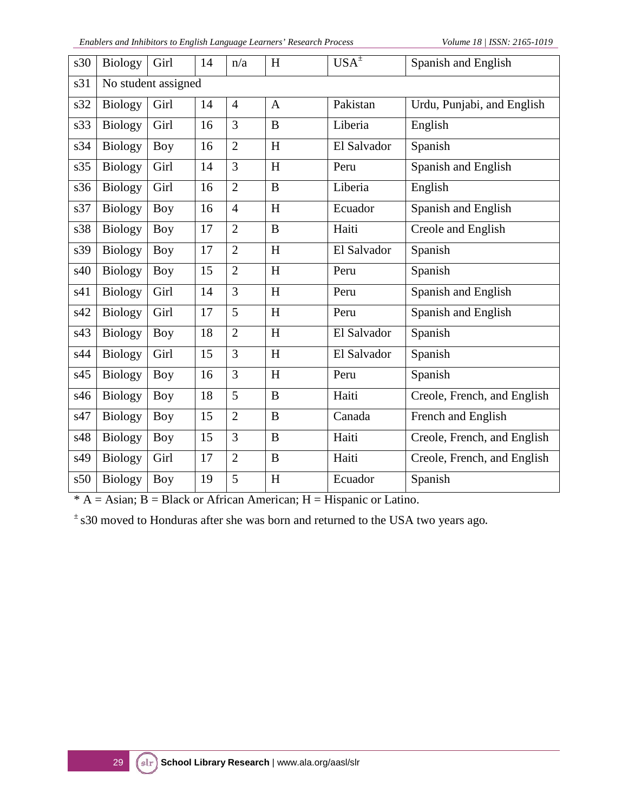| s30 | <b>Biology</b>      | Girl       | 14 | n/a            | H                         | $USA^{\pm}$ | Spanish and English         |  |  |
|-----|---------------------|------------|----|----------------|---------------------------|-------------|-----------------------------|--|--|
| s31 | No student assigned |            |    |                |                           |             |                             |  |  |
| s32 | <b>Biology</b>      | Girl       | 14 | $\overline{4}$ | $\mathbf{A}$              | Pakistan    | Urdu, Punjabi, and English  |  |  |
| s33 | <b>Biology</b>      | Girl       | 16 | 3              | B                         | Liberia     | English                     |  |  |
| s34 | <b>Biology</b>      | Boy        | 16 | $\overline{2}$ | H                         | El Salvador | Spanish                     |  |  |
| s35 | <b>Biology</b>      | Girl       | 14 | 3              | H                         | Peru        | Spanish and English         |  |  |
| s36 | <b>Biology</b>      | Girl       | 16 | $\overline{2}$ | $\overline{B}$            | Liberia     | English                     |  |  |
| s37 | <b>Biology</b>      | Boy        | 16 | $\overline{4}$ | H                         | Ecuador     | Spanish and English         |  |  |
| s38 | <b>Biology</b>      | Boy        | 17 | $\overline{2}$ | B                         | Haiti       | Creole and English          |  |  |
| s39 | <b>Biology</b>      | Boy        | 17 | $\overline{2}$ | H                         | El Salvador | Spanish                     |  |  |
| s40 | <b>Biology</b>      | <b>Boy</b> | 15 | $\overline{2}$ | H                         | Peru        | Spanish                     |  |  |
| s41 | <b>Biology</b>      | Girl       | 14 | 3              | H                         | Peru        | Spanish and English         |  |  |
| s42 | <b>Biology</b>      | Girl       | 17 | 5              | $\boldsymbol{\mathrm{H}}$ | Peru        | Spanish and English         |  |  |
| s43 | <b>Biology</b>      | <b>Boy</b> | 18 | $\overline{2}$ | H                         | El Salvador | Spanish                     |  |  |
| s44 | <b>Biology</b>      | Girl       | 15 | 3              | H                         | El Salvador | Spanish                     |  |  |
| s45 | <b>Biology</b>      | <b>Boy</b> | 16 | 3              | H                         | Peru        | Spanish                     |  |  |
| s46 | <b>Biology</b>      | <b>Boy</b> | 18 | 5              | $\overline{B}$            | Haiti       | Creole, French, and English |  |  |
| s47 | <b>Biology</b>      | Boy        | 15 | $\overline{2}$ | $\bf{B}$                  | Canada      | French and English          |  |  |
| s48 | <b>Biology</b>      | <b>Boy</b> | 15 | 3              | B                         | Haiti       | Creole, French, and English |  |  |
| s49 | <b>Biology</b>      | Girl       | 17 | $\overline{2}$ | B                         | Haiti       | Creole, French, and English |  |  |
| s50 | <b>Biology</b>      | Boy        | 19 | 5              | H                         | Ecuador     | Spanish                     |  |  |

 $* A =$  Asian; B = Black or African American; H = Hispanic or Latino.

± s30 moved to Honduras after she was born and returned to the USA two years ago.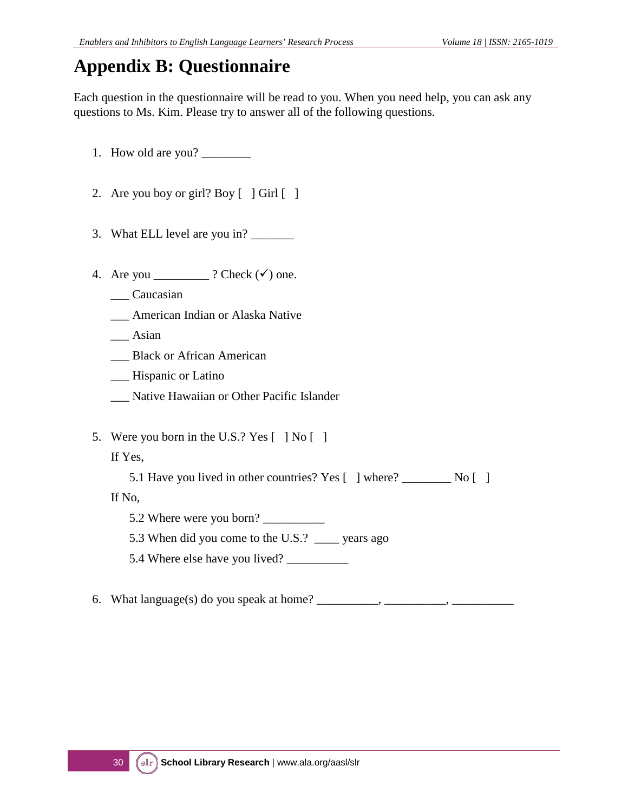### **Appendix B: Questionnaire**

Each question in the questionnaire will be read to you. When you need help, you can ask any questions to Ms. Kim. Please try to answer all of the following questions.

- 1. How old are you? \_\_\_\_\_\_\_\_
- 2. Are you boy or girl? Boy  $\lceil \cdot \rceil$  Girl  $\lceil \cdot \rceil$
- 3. What ELL level are you in?
- 4. Are you \_\_\_\_\_\_\_\_\_\_ ? Check  $(\checkmark)$  one.
	- \_\_\_ Caucasian
	- \_\_\_ American Indian or Alaska Native
	- \_\_\_ Asian
	- \_\_\_ Black or African American
	- \_\_\_ Hispanic or Latino
	- \_\_\_ Native Hawaiian or Other Pacific Islander
- 5. Were you born in the U.S.? Yes [ ] No [ ]

If Yes,

5.1 Have you lived in other countries? Yes [ ] where? \_\_\_\_\_\_\_\_ No [ ]

If No,

- 5.2 Where were you born? \_\_\_\_\_\_\_\_\_\_
- 5.3 When did you come to the U.S.? \_\_\_\_ years ago
- 5.4 Where else have you lived? \_\_\_\_\_\_\_\_\_\_
- 6. What language(s) do you speak at home?  $\qquad \qquad$ ,  $\qquad \qquad$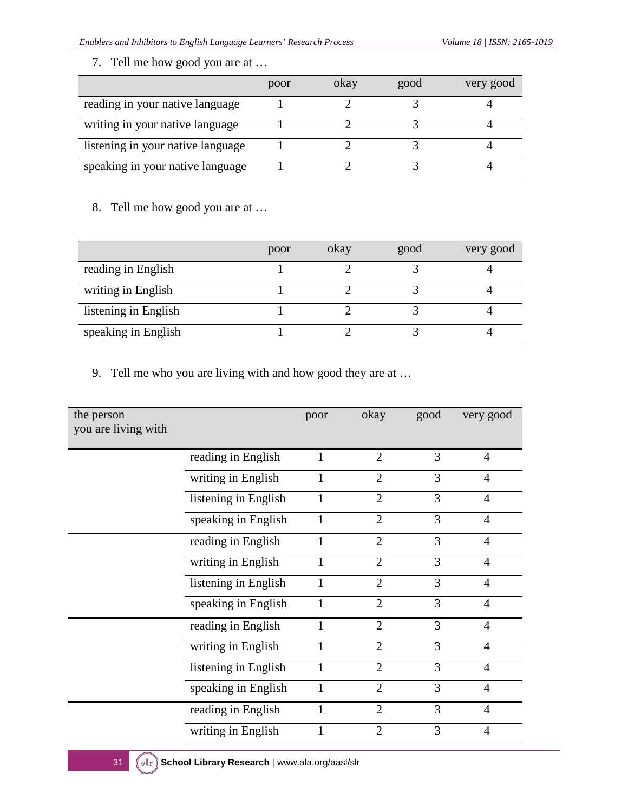7. Tell me how good you are at …

|                                   | poor | okay | good | very good |
|-----------------------------------|------|------|------|-----------|
| reading in your native language   |      |      |      |           |
| writing in your native language   |      |      |      |           |
| listening in your native language |      |      |      |           |
| speaking in your native language  |      |      |      |           |

8. Tell me how good you are at …

|                      | poor | okay | good | very good |
|----------------------|------|------|------|-----------|
| reading in English   |      |      |      |           |
| writing in English   |      |      |      |           |
| listening in English |      |      |      |           |
| speaking in English  |      |      |      |           |

9. Tell me who you are living with and how good they are at …

| the person<br>you are living with |                      | poor         | okay           | good | very good      |
|-----------------------------------|----------------------|--------------|----------------|------|----------------|
|                                   | reading in English   |              | $\overline{2}$ | 3    | $\overline{4}$ |
|                                   | writing in English   | 1            | $\overline{2}$ | 3    | $\overline{4}$ |
|                                   | listening in English | 1            | $\overline{2}$ | 3    | $\overline{4}$ |
|                                   | speaking in English  | 1            | $\overline{2}$ | 3    | $\overline{4}$ |
|                                   | reading in English   | 1            | $\overline{2}$ | 3    | $\overline{4}$ |
|                                   | writing in English   |              | $\overline{2}$ | 3    | $\overline{4}$ |
|                                   | listening in English | 1            | $\overline{2}$ | 3    | $\overline{4}$ |
|                                   | speaking in English  | 1            | $\overline{2}$ | 3    | $\overline{4}$ |
|                                   | reading in English   | 1            | $\overline{2}$ | 3    | $\overline{4}$ |
|                                   | writing in English   | 1            | $\overline{2}$ | 3    | $\overline{4}$ |
|                                   | listening in English | $\mathbf{1}$ | $\overline{2}$ | 3    | $\overline{4}$ |
|                                   | speaking in English  | 1            | $\overline{2}$ | 3    | $\overline{4}$ |
|                                   | reading in English   | 1            | $\overline{2}$ | 3    | $\overline{4}$ |
|                                   | writing in English   |              | $\overline{2}$ | 3    | $\overline{4}$ |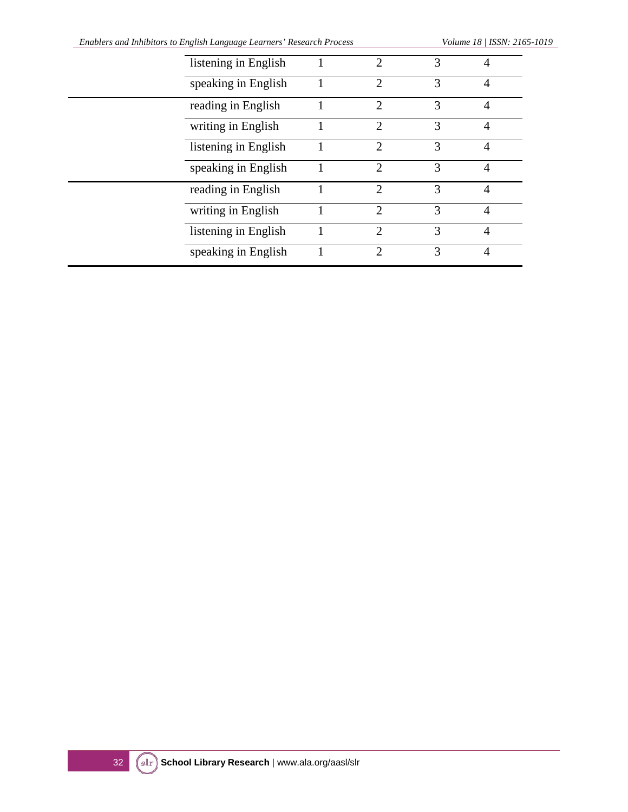| listening in English |                |               |                |
|----------------------|----------------|---------------|----------------|
| speaking in English  | 2              | 3             | 4              |
| reading in English   | $\mathfrak{D}$ | 3             | 4              |
| writing in English   | $\overline{2}$ | $\mathcal{R}$ | 4              |
| listening in English | $\mathcal{D}$  | $\mathcal{R}$ | 4              |
| speaking in English  | $\mathcal{D}$  | $\mathcal{R}$ | 4              |
| reading in English   | $\mathfrak{D}$ | $\mathcal{R}$ | 4              |
| writing in English   | $\mathcal{D}$  | 3             | 4              |
| listening in English | $\overline{2}$ | $\mathcal{R}$ | $\overline{4}$ |
| speaking in English  | っ              | 3             | 4              |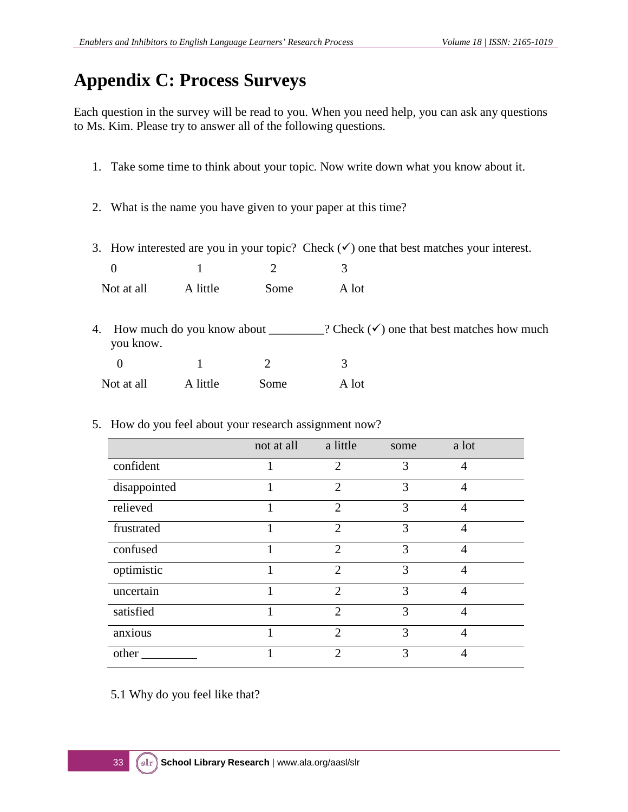### **Appendix C: Process Surveys**

Each question in the survey will be read to you. When you need help, you can ask any questions to Ms. Kim. Please try to answer all of the following questions.

- 1. Take some time to think about your topic*.* Now write down what you know about it.
- 2. What is the name you have given to your paper at this time?
- 3. How interested are you in your topic? Check  $(v)$  one that best matches your interest.

0  $1$  2 3 Not at all A little Some A lot

- 4. How much do you know about  $\qquad$  ? Check  $(\checkmark)$  one that best matches how much you know. 0 1 2 3 Not at all A little Some A lot
- 5. How do you feel about your research assignment now?

|              | not at all | a little                    | some | a lot          |  |
|--------------|------------|-----------------------------|------|----------------|--|
| confident    |            | $\overline{2}$              | 3    | 4              |  |
| disappointed |            | $\overline{2}$              | 3    | $\overline{4}$ |  |
| relieved     |            | $\overline{2}$              | 3    | 4              |  |
| frustrated   |            | $\overline{2}$              | 3    | 4              |  |
| confused     |            | $\overline{2}$              | 3    | $\overline{4}$ |  |
| optimistic   |            | $\overline{2}$              | 3    | 4              |  |
| uncertain    |            | $\mathcal{D}_{\mathcal{L}}$ | 3    | 4              |  |
| satisfied    |            | $\overline{2}$              | 3    | 4              |  |
| anxious      |            | $\overline{2}$              | 3    | 4              |  |
| other        |            | $\mathcal{D}_{\mathcal{L}}$ | 3    | 4              |  |

5.1 Why do you feel like that?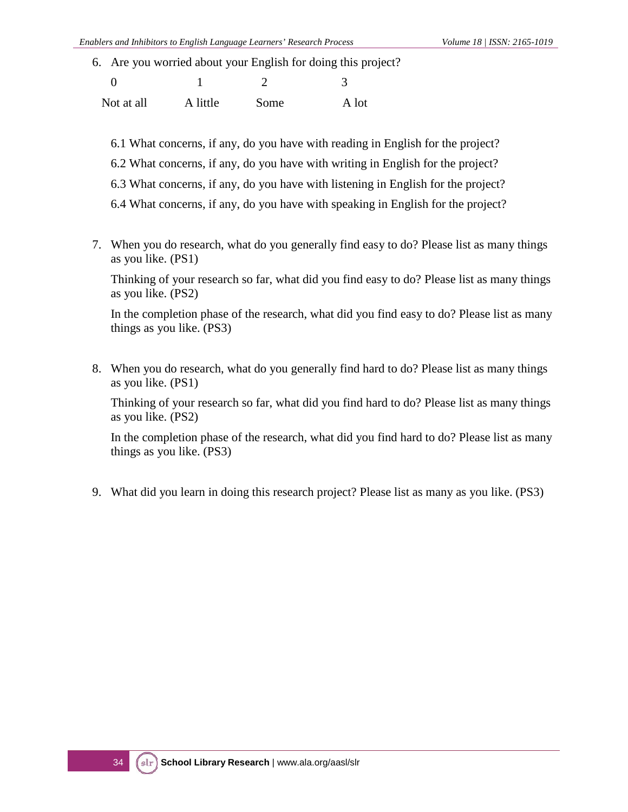6. Are you worried about your English for doing this project?

| Not at all | A little | Some | A lot |
|------------|----------|------|-------|

- 6.1 What concerns, if any, do you have with reading in English for the project?
- 6.2 What concerns, if any, do you have with writing in English for the project?
- 6.3 What concerns, if any, do you have with listening in English for the project?
- 6.4 What concerns, if any, do you have with speaking in English for the project?
- 7. When you do research, what do you generally find easy to do? Please list as many things as you like. (PS1)

Thinking of your research so far, what did you find easy to do? Please list as many things as you like. (PS2)

In the completion phase of the research, what did you find easy to do? Please list as many things as you like. (PS3)

8. When you do research, what do you generally find hard to do? Please list as many things as you like. (PS1)

Thinking of your research so far, what did you find hard to do? Please list as many things as you like. (PS2)

In the completion phase of the research, what did you find hard to do? Please list as many things as you like. (PS3)

9. What did you learn in doing this research project? Please list as many as you like. (PS3)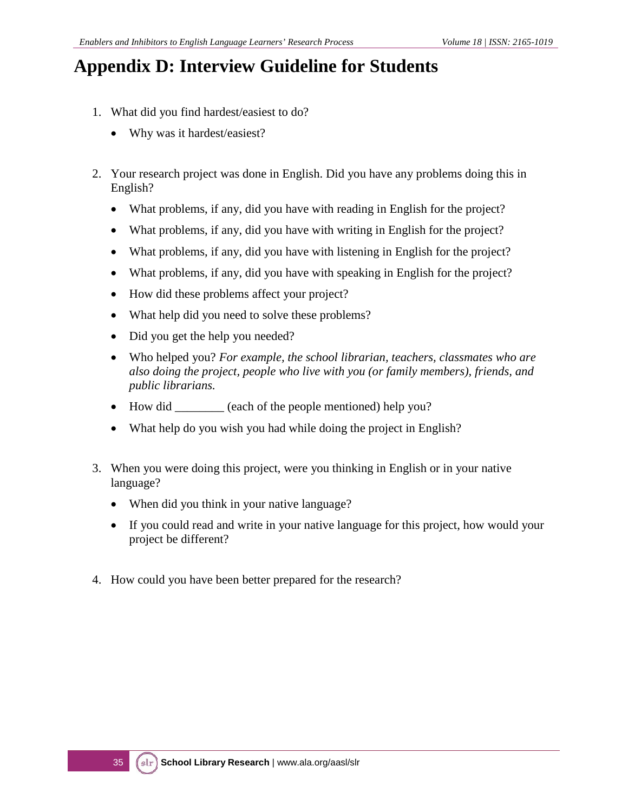### **Appendix D: Interview Guideline for Students**

- 1. What did you find hardest/easiest to do?
	- Why was it hardest/easiest?
- 2. Your research project was done in English. Did you have any problems doing this in English?
	- What problems, if any, did you have with reading in English for the project?
	- What problems, if any, did you have with writing in English for the project?
	- What problems, if any, did you have with listening in English for the project?
	- What problems, if any, did you have with speaking in English for the project?
	- How did these problems affect your project?
	- What help did you need to solve these problems?
	- Did you get the help you needed?
	- Who helped you? *For example, the school librarian, teachers, classmates who are also doing the project, people who live with you (or family members), friends, and public librarians.*
	- How did \_\_\_\_\_\_\_ (each of the people mentioned) help you?
	- What help do you wish you had while doing the project in English?
- 3. When you were doing this project, were you thinking in English or in your native language?
	- When did you think in your native language?
	- If you could read and write in your native language for this project, how would your project be different?
- 4. How could you have been better prepared for the research?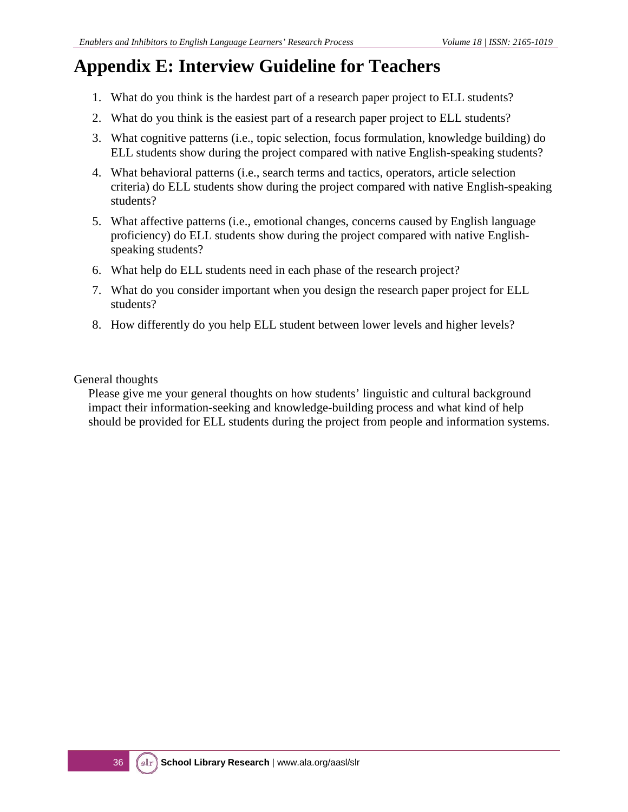## **Appendix E: Interview Guideline for Teachers**

- 1. What do you think is the hardest part of a research paper project to ELL students?
- 2. What do you think is the easiest part of a research paper project to ELL students?
- 3. What cognitive patterns (i.e., topic selection, focus formulation, knowledge building) do ELL students show during the project compared with native English-speaking students?
- 4. What behavioral patterns (i.e., search terms and tactics, operators, article selection criteria) do ELL students show during the project compared with native English-speaking students?
- 5. What affective patterns (i.e., emotional changes, concerns caused by English language proficiency) do ELL students show during the project compared with native Englishspeaking students?
- 6. What help do ELL students need in each phase of the research project?
- 7. What do you consider important when you design the research paper project for ELL students?
- 8. How differently do you help ELL student between lower levels and higher levels?

General thoughts

Please give me your general thoughts on how students' linguistic and cultural background impact their information-seeking and knowledge-building process and what kind of help should be provided for ELL students during the project from people and information systems.